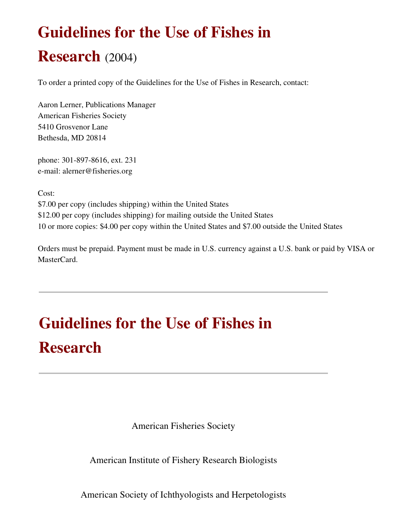# Guidelines for the Use of Fishes in

# Research (2004)

To order a printed copy of the Guidelines for the Use of Fishes in Research, contact:

Aaron Lerner, Publications Manager American Fisheries Society 5410 Grosvenor Lane Bethesda, MD 20814

phone: 301-897-8616, ext. 231 email: alerner@fisheries.org

Cost:

\$7.00 per copy (includes shipping) within the United States \$12.00 per copy (includes shipping) for mailing outside the United States 10 or more copies: \$4.00 per copy within the United States and \$7.00 outside the United States

Orders must be prepaid. Payment must be made in U.S. currency against a U.S. bank or paid by VISA or MasterCard.

# Guidelines for the Use of Fishes in Research

American Fisheries Society

American Institute of Fishery Research Biologists

American Society of Ichthyologists and Herpetologists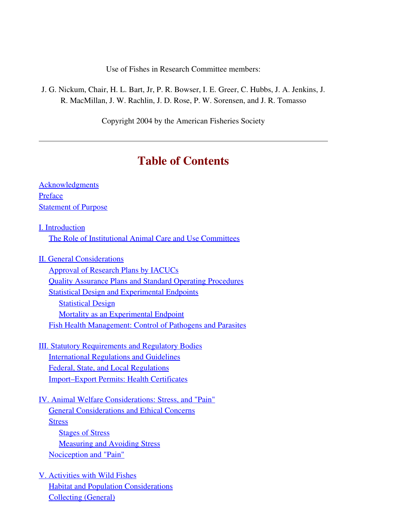Use of Fishes in Research Committee members:

J. G. Nickum, Chair, H. L. Bart, Jr, P. R. Bowser, I. E. Greer, C. Hubbs, J. A. Jenkins, J. R. MacMillan, J. W. Rachlin, J. D. Rose, P. W. Sorensen, and J. R. Tomasso

Copyright 2004 by the American Fisheries Society

# Table of Contents

| <b>Acknowledgments</b>                                            |
|-------------------------------------------------------------------|
| Preface                                                           |
| <b>Statement of Purpose</b>                                       |
| I. Introduction                                                   |
| The Role of Institutional Animal Care and Use Committees          |
| <b>II. General Considerations</b>                                 |
| <b>Approval of Research Plans by IACUCs</b>                       |
| <b>Quality Assurance Plans and Standard Operating Procedures</b>  |
| <b>Statistical Design and Experimental Endpoints</b>              |
| <b>Statistical Design</b>                                         |
| <b>Mortality as an Experimental Endpoint</b>                      |
| <b>Fish Health Management: Control of Pathogens and Parasites</b> |
| <b>III. Statutory Requirements and Regulatory Bodies</b>          |
| <b>International Regulations and Guidelines</b>                   |
| Federal, State, and Local Regulations                             |
| <b>Import–Export Permits: Health Certificates</b>                 |
| IV. Animal Welfare Considerations: Stress, and "Pain"             |
| <b>General Considerations and Ethical Concerns</b>                |
| <b>Stress</b>                                                     |
| <b>Stages of Stress</b>                                           |
| <b>Measuring and Avoiding Stress</b>                              |
| <b>Nociception and "Pain"</b>                                     |
| V. Activities with Wild Fishes                                    |

<span id="page-1-0"></span>**[Habitat and Population Considerations](#page-20-1)** 

[Collecting \(General\)](#page-20-0)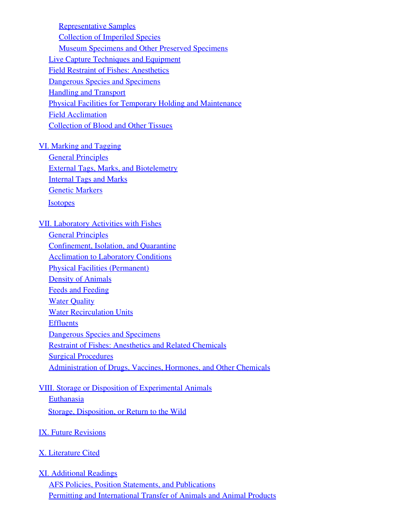[Representative Samples](#page-21-1) [Collection of Imperiled Species](#page-21-0) [Museum Specimens and Other Preserved Specimens](#page-22-0) [Live Capture Techniques and Equipment](#page-23-0) [Field Restraint of Fishes: Anesthetics](#page-24-1) [Dangerous Species and Specimens](#page-24-0) [Handling and Transport](#page-25-0) [Physical Facilities for Temporary Holding and Maintenance](#page-26-0) [Field Acclimation](#page-27-1) [Collection of Blood and Other Tissues](#page-27-0)

#### [VI. Marking and Tagging](#page-28-1)

**[General Principles](#page-28-0)** [External Tags, Marks, and Biotelemetry](#page-29-0) [Internal Tags and Marks](#page-30-0) [Genetic Markers](#page-31-1) **[Isotopes](#page-31-0)** 

#### [VII. Laboratory Activities with Fishes](#page-32-2)

**[General Principles](#page-32-1)** [Confinement, Isolation, and Quarantine](#page-32-0) **[Acclimation to Laboratory Conditions](#page-33-1)** [Physical Facilities \(Permanent\)](#page-33-0) **[Density of Animals](#page-34-0)** [Feeds and Feeding](#page-35-0) [Water Quality](#page-36-0) [Water Recirculation Units](#page-37-0) **[Effluents](#page-38-0)** [Dangerous Species and Specimens](#page-39-1) [Restraint of Fishes: Anesthetics and Related Chemicals](#page-39-0) [Surgical Procedures](#page-40-1) [Administration of Drugs, Vaccines, Hormones, and Other Chemicals](#page-40-0)

# [VIII. Storage or Disposition of Experimental Animals](#page-41-1)

**[Euthanasia](#page-41-0)** 

[Storage, Disposition, or Return to the Wild](#page-42-0)

#### [IX. Future Revisions](#page-43-1)

#### [X. Literature Cited](#page-43-0)

#### [XI. Additional Readings](#page-52-2)

[AFS Policies, Position Statements, and Publications](#page-52-1) [Permitting and International Transfer of Animals and Animal Products](#page-52-0)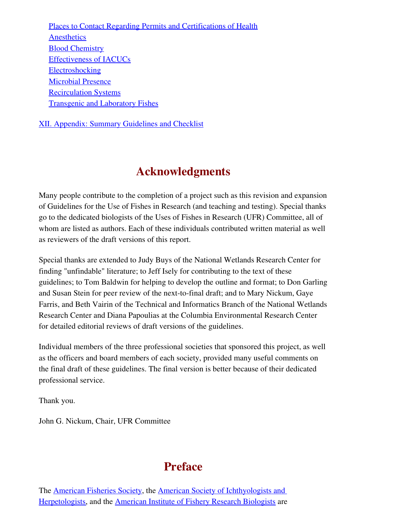[Places to Contact Regarding Permits and Certifications of Health](#page-53-2) **[Anesthetics](#page-53-1)** [Blood Chemistry](#page-53-0) [Effectiveness of IACUCs](#page-54-3) [Electroshocking](#page-54-2) [Microbial Presence](#page-54-1) [Recirculation Systems](#page-54-0) [Transgenic and Laboratory Fishes](#page-55-1)

[XII. Appendix: Summary Guidelines and Checklist](#page-55-0)

# <span id="page-3-0"></span>Acknowledgments

Many people contribute to the completion of a project such as this revision and expansion of Guidelines for the Use of Fishes in Research (and teaching and testing). Special thanks go to the dedicated biologists of the Uses of Fishes in Research (UFR) Committee, all of whom are listed as authors. Each of these individuals contributed written material as well as reviewers of the draft versions of this report.

Special thanks are extended to Judy Buys of the National Wetlands Research Center for finding "unfindable" literature; to Jeff Isely for contributing to the text of these guidelines; to Tom Baldwin for helping to develop the outline and format; to Don Garling and Susan Stein for peer review of the next-to-final draft; and to Mary Nickum, Gaye Farris, and Beth Vairin of the Technical and Informatics Branch of the National Wetlands Research Center and Diana Papoulias at the Columbia Environmental Research Center for detailed editorial reviews of draft versions of the guidelines.

Individual members of the three professional societies that sponsored this project, as well as the officers and board members of each society, provided many useful comments on the final draft of these guidelines. The final version is better because of their dedicated professional service.

Thank you.

John G. Nickum, Chair, UFR Committee

# <span id="page-3-1"></span>Preface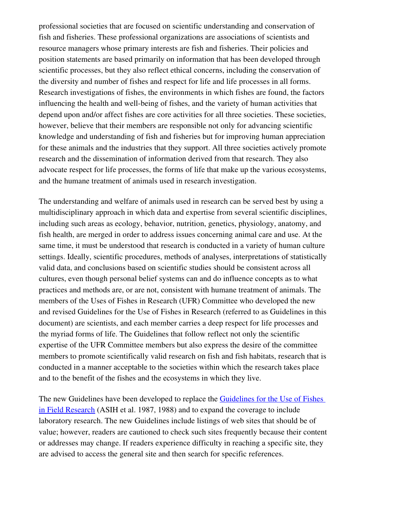professional societies that are focused on scientific understanding and conservation of fish and fisheries. These professional organizations are associations of scientists and resource managers whose primary interests are fish and fisheries. Their policies and position statements are based primarily on information that has been developed through scientific processes, but they also reflect ethical concerns, including the conservation of the diversity and number of fishes and respect for life and life processes in all forms. Research investigations of fishes, the environments in which fishes are found, the factors influencing the health and well-being of fishes, and the variety of human activities that depend upon and/or affect fishes are core activities for all three societies. These societies, however, believe that their members are responsible not only for advancing scientific knowledge and understanding of fish and fisheries but for improving human appreciation for these animals and the industries that they support. All three societies actively promote research and the dissemination of information derived from that research. They also advocate respect for life processes, the forms of life that make up the various ecosystems, and the humane treatment of animals used in research investigation.

The understanding and welfare of animals used in research can be served best by using a multidisciplinary approach in which data and expertise from several scientific disciplines, including such areas as ecology, behavior, nutrition, genetics, physiology, anatomy, and fish health, are merged in order to address issues concerning animal care and use. At the same time, it must be understood that research is conducted in a variety of human culture settings. Ideally, scientific procedures, methods of analyses, interpretations of statistically valid data, and conclusions based on scientific studies should be consistent across all cultures, even though personal belief systems can and do influence concepts as to what practices and methods are, or are not, consistent with humane treatment of animals. The members of the Uses of Fishes in Research (UFR) Committee who developed the new and revised Guidelines for the Use of Fishes in Research (referred to as Guidelines in this document) are scientists, and each member carries a deep respect for life processes and the myriad forms of life. The Guidelines that follow reflect not only the scientific expertise of the UFR Committee members but also express the desire of the committee members to promote scientifically valid research on fish and fish habitats, research that is conducted in a manner acceptable to the societies within which the research takes place and to the benefit of the fishes and the ecosystems in which they live.

The new Guidelines have been developed to replace the [Guidelines for the Use of Fishes](file:///home/jeuker/Desktop/1988Guidelines.pdf) [in Field Research](file:///home/jeuker/Desktop/1988Guidelines.pdf) (ASIH et al. 1987, 1988) and to expand the coverage to include laboratory research. The new Guidelines include listings of web sites that should be of value; however, readers are cautioned to check such sites frequently because their content or addresses may change. If readers experience difficulty in reaching a specific site, they are advised to access the general site and then search for specific references.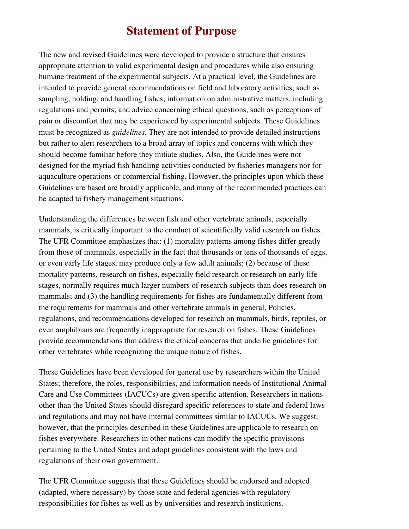# <span id="page-5-0"></span>Statement of Purpose

The new and revised Guidelines were developed to provide a structure that ensures appropriate attention to valid experimental design and procedures while also ensuring humane treatment of the experimental subjects. At a practical level, the Guidelines are intended to provide general recommendations on field and laboratory activities, such as sampling, holding, and handling fishes; information on administrative matters, including regulations and permits; and advice concerning ethical questions, such as perceptions of pain or discomfort that may be experienced by experimental subjects. These Guidelines must be recognized as *guidelines*. They are not intended to provide detailed instructions but rather to alert researchers to a broad array of topics and concerns with which they should become familiar before they initiate studies. Also, the Guidelines were not designed for the myriad fish handling activities conducted by fisheries managers nor for aquaculture operations or commercial fishing. However, the principles upon which these Guidelines are based are broadly applicable, and many of the recommended practices can be adapted to fishery management situations.

Understanding the differences between fish and other vertebrate animals, especially mammals, is critically important to the conduct of scientifically valid research on fishes. The UFR Committee emphasizes that: (1) mortality patterns among fishes differ greatly from those of mammals, especially in the fact that thousands or tens of thousands of eggs, or even early life stages, may produce only a few adult animals; (2) because of these mortality patterns, research on fishes, especially field research or research on early life stages, normally requires much larger numbers of research subjects than does research on mammals; and (3) the handling requirements for fishes are fundamentally different from the requirements for mammals and other vertebrate animals in general. Policies, regulations, and recommendations developed for research on mammals, birds, reptiles, or even amphibians are frequently inappropriate for research on fishes. These Guidelines provide recommendations that address the ethical concerns that underlie guidelines for other vertebrates while recognizing the unique nature of fishes.

These Guidelines have been developed for general use by researchers within the United States; therefore, the roles, responsibilities, and information needs of Institutional Animal Care and Use Committees (IACUCs) are given specific attention. Researchers in nations other than the United States should disregard specific references to state and federal laws and regulations and may not have internal committees similar to IACUCs. We suggest, however, that the principles described in these Guidelines are applicable to research on fishes everywhere. Researchers in other nations can modify the specific provisions pertaining to the United States and adopt guidelines consistent with the laws and regulations of their own government.

The UFR Committee suggests that these Guidelines should be endorsed and adopted (adapted, where necessary) by those state and federal agencies with regulatory responsibilities for fishes as well as by universities and research institutions.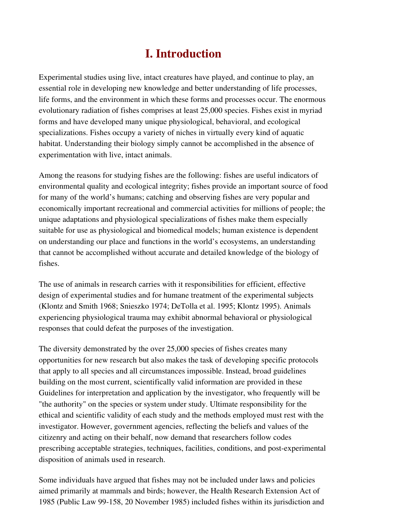# <span id="page-6-0"></span>I. Introduction

Experimental studies using live, intact creatures have played, and continue to play, an essential role in developing new knowledge and better understanding of life processes, life forms, and the environment in which these forms and processes occur. The enormous evolutionary radiation of fishes comprises at least 25,000 species. Fishes exist in myriad forms and have developed many unique physiological, behavioral, and ecological specializations. Fishes occupy a variety of niches in virtually every kind of aquatic habitat. Understanding their biology simply cannot be accomplished in the absence of experimentation with live, intact animals.

Among the reasons for studying fishes are the following: fishes are useful indicators of environmental quality and ecological integrity; fishes provide an important source of food for many of the world's humans; catching and observing fishes are very popular and economically important recreational and commercial activities for millions of people; the unique adaptations and physiological specializations of fishes make them especially suitable for use as physiological and biomedical models; human existence is dependent on understanding our place and functions in the world's ecosystems, an understanding that cannot be accomplished without accurate and detailed knowledge of the biology of fishes.

The use of animals in research carries with it responsibilities for efficient, effective design of experimental studies and for humane treatment of the experimental subjects (Klontz and Smith 1968; Snieszko 1974; DeTolla et al. 1995; Klontz 1995). Animals experiencing physiological trauma may exhibit abnormal behavioral or physiological responses that could defeat the purposes of the investigation.

The diversity demonstrated by the over 25,000 species of fishes creates many opportunities for new research but also makes the task of developing specific protocols that apply to all species and all circumstances impossible. Instead, broad guidelines building on the most current, scientifically valid information are provided in these Guidelines for interpretation and application by the investigator, who frequently will be "the authority" on the species or system under study. Ultimate responsibility for the ethical and scientific validity of each study and the methods employed must rest with the investigator. However, government agencies, reflecting the beliefs and values of the citizenry and acting on their behalf, now demand that researchers follow codes prescribing acceptable strategies, techniques, facilities, conditions, and post-experimental disposition of animals used in research.

Some individuals have argued that fishes may not be included under laws and policies aimed primarily at mammals and birds; however, the Health Research Extension Act of 1985 (Public Law 99-158, 20 November 1985) included fishes within its jurisdiction and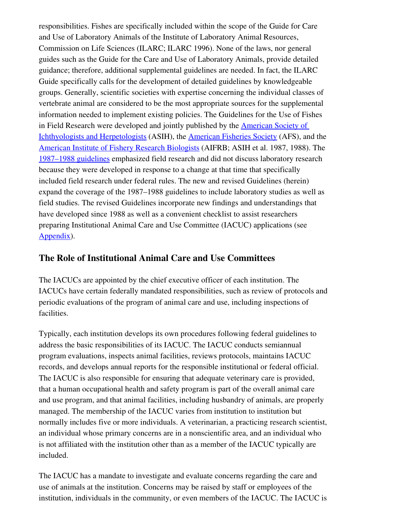responsibilities. Fishes are specifically included within the scope of the Guide for Care and Use of Laboratory Animals of the Institute of Laboratory Animal Resources, Commission on Life Sciences (ILARC; ILARC 1996). None of the laws, nor general guides such as the Guide for the Care and Use of Laboratory Animals, provide detailed guidance; therefore, additional supplemental guidelines are needed. In fact, the ILARC Guide specifically calls for the development of detailed guidelines by knowledgeable groups. Generally, scientific societies with expertise concerning the individual classes of vertebrate animal are considered to be the most appropriate sources for the supplemental information needed to implement existing policies. The Guidelines for the Use of Fishes in Field Research were developed and jointly published by the [American Society of](http://www.asih.org/) [Ichthyologists and Herpetologists](http://www.asih.org/) (ASIH), the [American Fisheries Society](http://www.fisheries.org/html/index.shtml) (AFS), and the [American Institute of Fishery Research Biologists](http://www.aifrb.org/) (AIFRB; ASIH et al. 1987, 1988). The [1987–1988 guidelines](file:///home/jeuker/Desktop/1988Guidelines.pdf) emphasized field research and did not discuss laboratory research because they were developed in response to a change at that time that specifically included field research under federal rules. The new and revised Guidelines (herein) expand the coverage of the 1987–1988 guidelines to include laboratory studies as well as field studies. The revised Guidelines incorporate new findings and understandings that have developed since 1988 as well as a convenient checklist to assist researchers preparing Institutional Animal Care and Use Committee (IACUC) applications (see [Appendix\)](#page-55-0).

### <span id="page-7-0"></span>The Role of Institutional Animal Care and Use Committees

The IACUCs are appointed by the chief executive officer of each institution. The IACUCs have certain federally mandated responsibilities, such as review of protocols and periodic evaluations of the program of animal care and use, including inspections of facilities.

Typically, each institution develops its own procedures following federal guidelines to address the basic responsibilities of its IACUC. The IACUC conducts semiannual program evaluations, inspects animal facilities, reviews protocols, maintains IACUC records, and develops annual reports for the responsible institutional or federal official. The IACUC is also responsible for ensuring that adequate veterinary care is provided, that a human occupational health and safety program is part of the overall animal care and use program, and that animal facilities, including husbandry of animals, are properly managed. The membership of the IACUC varies from institution to institution but normally includes five or more individuals. A veterinarian, a practicing research scientist, an individual whose primary concerns are in a nonscientific area, and an individual who is not affiliated with the institution other than as a member of the IACUC typically are included.

The IACUC has a mandate to investigate and evaluate concerns regarding the care and use of animals at the institution. Concerns may be raised by staff or employees of the institution, individuals in the community, or even members of the IACUC. The IACUC is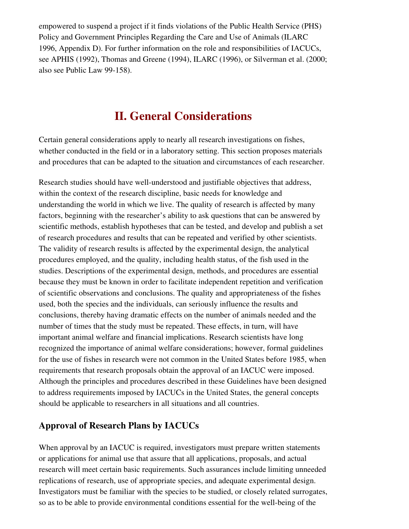empowered to suspend a project if it finds violations of the Public Health Service (PHS) Policy and Government Principles Regarding the Care and Use of Animals (ILARC 1996, Appendix D). For further information on the role and responsibilities of IACUCs, see APHIS (1992), Thomas and Greene (1994), ILARC (1996), or Silverman et al. (2000; also see Public Law 99-158).

# <span id="page-8-1"></span>II. General Considerations

Certain general considerations apply to nearly all research investigations on fishes, whether conducted in the field or in a laboratory setting. This section proposes materials and procedures that can be adapted to the situation and circumstances of each researcher.

Research studies should have well-understood and justifiable objectives that address, within the context of the research discipline, basic needs for knowledge and understanding the world in which we live. The quality of research is affected by many factors, beginning with the researcher's ability to ask questions that can be answered by scientific methods, establish hypotheses that can be tested, and develop and publish a set of research procedures and results that can be repeated and verified by other scientists. The validity of research results is affected by the experimental design, the analytical procedures employed, and the quality, including health status, of the fish used in the studies. Descriptions of the experimental design, methods, and procedures are essential because they must be known in order to facilitate independent repetition and verification of scientific observations and conclusions. The quality and appropriateness of the fishes used, both the species and the individuals, can seriously influence the results and conclusions, thereby having dramatic effects on the number of animals needed and the number of times that the study must be repeated. These effects, in turn, will have important animal welfare and financial implications. Research scientists have long recognized the importance of animal welfare considerations; however, formal guidelines for the use of fishes in research were not common in the United States before 1985, when requirements that research proposals obtain the approval of an IACUC were imposed. Although the principles and procedures described in these Guidelines have been designed to address requirements imposed by IACUCs in the United States, the general concepts should be applicable to researchers in all situations and all countries.

### <span id="page-8-0"></span>Approval of Research Plans by IACUCs

When approval by an IACUC is required, investigators must prepare written statements or applications for animal use that assure that all applications, proposals, and actual research will meet certain basic requirements. Such assurances include limiting unneeded replications of research, use of appropriate species, and adequate experimental design. Investigators must be familiar with the species to be studied, or closely related surrogates, so as to be able to provide environmental conditions essential for the well-being of the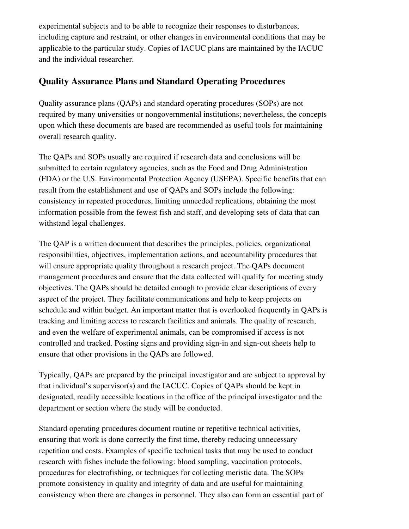experimental subjects and to be able to recognize their responses to disturbances, including capture and restraint, or other changes in environmental conditions that may be applicable to the particular study. Copies of IACUC plans are maintained by the IACUC and the individual researcher.

### <span id="page-9-0"></span>Quality Assurance Plans and Standard Operating Procedures

Quality assurance plans (QAPs) and standard operating procedures (SOPs) are not required by many universities or nongovernmental institutions; nevertheless, the concepts upon which these documents are based are recommended as useful tools for maintaining overall research quality.

The QAPs and SOPs usually are required if research data and conclusions will be submitted to certain regulatory agencies, such as the Food and Drug Administration (FDA) or the U.S. Environmental Protection Agency (USEPA). Specific benefits that can result from the establishment and use of QAPs and SOPs include the following: consistency in repeated procedures, limiting unneeded replications, obtaining the most information possible from the fewest fish and staff, and developing sets of data that can withstand legal challenges.

The QAP is a written document that describes the principles, policies, organizational responsibilities, objectives, implementation actions, and accountability procedures that will ensure appropriate quality throughout a research project. The QAPs document management procedures and ensure that the data collected will qualify for meeting study objectives. The QAPs should be detailed enough to provide clear descriptions of every aspect of the project. They facilitate communications and help to keep projects on schedule and within budget. An important matter that is overlooked frequently in QAPs is tracking and limiting access to research facilities and animals. The quality of research, and even the welfare of experimental animals, can be compromised if access is not controlled and tracked. Posting signs and providing sign-in and sign-out sheets help to ensure that other provisions in the QAPs are followed.

Typically, QAPs are prepared by the principal investigator and are subject to approval by that individual's supervisor(s) and the IACUC. Copies of QAPs should be kept in designated, readily accessible locations in the office of the principal investigator and the department or section where the study will be conducted.

Standard operating procedures document routine or repetitive technical activities, ensuring that work is done correctly the first time, thereby reducing unnecessary repetition and costs. Examples of specific technical tasks that may be used to conduct research with fishes include the following: blood sampling, vaccination protocols, procedures for electrofishing, or techniques for collecting meristic data. The SOPs promote consistency in quality and integrity of data and are useful for maintaining consistency when there are changes in personnel. They also can form an essential part of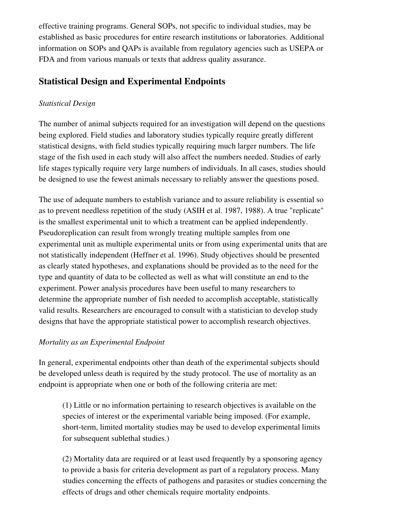effective training programs. General SOPs, not specific to individual studies, may be established as basic procedures for entire research institutions or laboratories. Additional information on SOPs and QAPs is available from regulatory agencies such as USEPA or FDA and from various manuals or texts that address quality assurance.

### <span id="page-10-2"></span>Statistical Design and Experimental Endpoints

#### <span id="page-10-1"></span>*Statistical Design*

The number of animal subjects required for an investigation will depend on the questions being explored. Field studies and laboratory studies typically require greatly different statistical designs, with field studies typically requiring much larger numbers. The life stage of the fish used in each study will also affect the numbers needed. Studies of early life stages typically require very large numbers of individuals. In all cases, studies should be designed to use the fewest animals necessary to reliably answer the questions posed.

The use of adequate numbers to establish variance and to assure reliability is essential so as to prevent needless repetition of the study (ASIH et al. 1987, 1988). A true "replicate" is the smallest experimental unit to which a treatment can be applied independently. Pseudoreplication can result from wrongly treating multiple samples from one experimental unit as multiple experimental units or from using experimental units that are not statistically independent (Heffner et al. 1996). Study objectives should be presented as clearly stated hypotheses, and explanations should be provided as to the need for the type and quantity of data to be collected as well as what will constitute an end to the experiment. Power analysis procedures have been useful to many researchers to determine the appropriate number of fish needed to accomplish acceptable, statistically valid results. Researchers are encouraged to consult with a statistician to develop study designs that have the appropriate statistical power to accomplish research objectives.

#### <span id="page-10-0"></span>*Mortality as an Experimental Endpoint*

In general, experimental endpoints other than death of the experimental subjects should be developed unless death is required by the study protocol. The use of mortality as an endpoint is appropriate when one or both of the following criteria are met:

(1) Little or no information pertaining to research objectives is available on the species of interest or the experimental variable being imposed. (For example, short-term, limited mortality studies may be used to develop experimental limits for subsequent sublethal studies.)

(2) Mortality data are required or at least used frequently by a sponsoring agency to provide a basis for criteria development as part of a regulatory process. Many studies concerning the effects of pathogens and parasites or studies concerning the effects of drugs and other chemicals require mortality endpoints.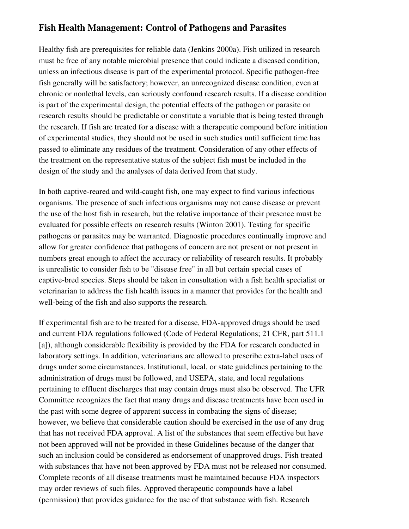### <span id="page-11-0"></span>Fish Health Management: Control of Pathogens and Parasites

Healthy fish are prerequisites for reliable data (Jenkins 2000a). Fish utilized in research must be free of any notable microbial presence that could indicate a diseased condition, unless an infectious disease is part of the experimental protocol. Specific pathogen-free fish generally will be satisfactory; however, an unrecognized disease condition, even at chronic or nonlethal levels, can seriously confound research results. If a disease condition is part of the experimental design, the potential effects of the pathogen or parasite on research results should be predictable or constitute a variable that is being tested through the research. If fish are treated for a disease with a therapeutic compound before initiation of experimental studies, they should not be used in such studies until sufficient time has passed to eliminate any residues of the treatment. Consideration of any other effects of the treatment on the representative status of the subject fish must be included in the design of the study and the analyses of data derived from that study.

In both captive-reared and wild-caught fish, one may expect to find various infectious organisms. The presence of such infectious organisms may not cause disease or prevent the use of the host fish in research, but the relative importance of their presence must be evaluated for possible effects on research results (Winton 2001). Testing for specific pathogens or parasites may be warranted. Diagnostic procedures continually improve and allow for greater confidence that pathogens of concern are not present or not present in numbers great enough to affect the accuracy or reliability of research results. It probably is unrealistic to consider fish to be "disease free" in all but certain special cases of captive-bred species. Steps should be taken in consultation with a fish health specialist or veterinarian to address the fish health issues in a manner that provides for the health and well-being of the fish and also supports the research.

If experimental fish are to be treated for a disease, FDA-approved drugs should be used and current FDA regulations followed (Code of Federal Regulations; 21 CFR, part 511.1 [a]), although considerable flexibility is provided by the FDA for research conducted in laboratory settings. In addition, veterinarians are allowed to prescribe extralabel uses of drugs under some circumstances. Institutional, local, or state guidelines pertaining to the administration of drugs must be followed, and USEPA, state, and local regulations pertaining to effluent discharges that may contain drugs must also be observed. The UFR Committee recognizes the fact that many drugs and disease treatments have been used in the past with some degree of apparent success in combating the signs of disease; however, we believe that considerable caution should be exercised in the use of any drug that has not received FDA approval. A list of the substances that seem effective but have not been approved will not be provided in these Guidelines because of the danger that such an inclusion could be considered as endorsement of unapproved drugs. Fish treated with substances that have not been approved by FDA must not be released nor consumed. Complete records of all disease treatments must be maintained because FDA inspectors may order reviews of such files. Approved therapeutic compounds have a label (permission) that provides guidance for the use of that substance with fish. Research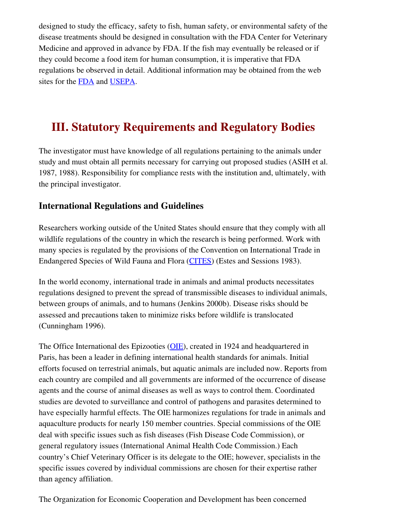designed to study the efficacy, safety to fish, human safety, or environmental safety of the disease treatments should be designed in consultation with the FDA Center for Veterinary Medicine and approved in advance by FDA. If the fish may eventually be released or if they could become a food item for human consumption, it is imperative that FDA regulations be observed in detail. Additional information may be obtained from the web sites for the [FDA](http://www.fda.gov/cvm/default.html) and [USEPA](http://www.epa.gov/).

# <span id="page-12-1"></span>III. Statutory Requirements and Regulatory Bodies

The investigator must have knowledge of all regulations pertaining to the animals under study and must obtain all permits necessary for carrying out proposed studies (ASIH et al. 1987, 1988). Responsibility for compliance rests with the institution and, ultimately, with the principal investigator.

### <span id="page-12-0"></span>International Regulations and Guidelines

Researchers working outside of the United States should ensure that they comply with all wildlife regulations of the country in which the research is being performed. Work with many species is regulated by the provisions of the Convention on International Trade in Endangered Species of Wild Fauna and Flora [\(CITES\)](http://international.fws.gov/cites/cites.html) (Estes and Sessions 1983).

In the world economy, international trade in animals and animal products necessitates regulations designed to prevent the spread of transmissible diseases to individual animals, between groups of animals, and to humans (Jenkins 2000b). Disease risks should be assessed and precautions taken to minimize risks before wildlife is translocated (Cunningham 1996).

The Office International des Epizooties [\(OIE](http://www.oie.int/)), created in 1924 and headquartered in Paris, has been a leader in defining international health standards for animals. Initial efforts focused on terrestrial animals, but aquatic animals are included now. Reports from each country are compiled and all governments are informed of the occurrence of disease agents and the course of animal diseases as well as ways to control them. Coordinated studies are devoted to surveillance and control of pathogens and parasites determined to have especially harmful effects. The OIE harmonizes regulations for trade in animals and aquaculture products for nearly 150 member countries. Special commissions of the OIE deal with specific issues such as fish diseases (Fish Disease Code Commission), or general regulatory issues (International Animal Health Code Commission.) Each country's Chief Veterinary Officer is its delegate to the OIE; however, specialists in the specific issues covered by individual commissions are chosen for their expertise rather than agency affiliation.

The Organization for Economic Cooperation and Development has been concerned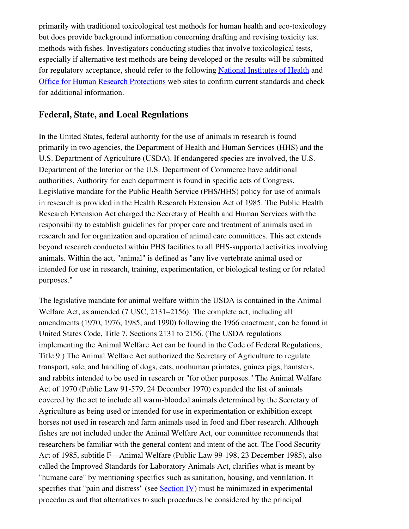primarily with traditional toxicological test methods for human health and eco-toxicology but does provide background information concerning drafting and revising toxicity test methods with fishes. Investigators conducting studies that involve toxicological tests, especially if alternative test methods are being developed or the results will be submitted for regulatory acceptance, should refer to the following [National Institutes of Health](http://iccvam.niehs.nih.gov/docs/guidelines/validate.pdf) and [Office for Human Research Protections](http://ohrp.osophs.dhhs.gov/) web sites to confirm current standards and check for additional information.

### <span id="page-13-0"></span>Federal, State, and Local Regulations

In the United States, federal authority for the use of animals in research is found primarily in two agencies, the Department of Health and Human Services (HHS) and the U.S. Department of Agriculture (USDA). If endangered species are involved, the U.S. Department of the Interior or the U.S. Department of Commerce have additional authorities. Authority for each department is found in specific acts of Congress. Legislative mandate for the Public Health Service (PHS/HHS) policy for use of animals in research is provided in the Health Research Extension Act of 1985. The Public Health Research Extension Act charged the Secretary of Health and Human Services with the responsibility to establish guidelines for proper care and treatment of animals used in research and for organization and operation of animal care committees. This act extends beyond research conducted within PHS facilities to all PHS-supported activities involving animals. Within the act, "animal" is defined as "any live vertebrate animal used or intended for use in research, training, experimentation, or biological testing or for related purposes."

<span id="page-13-1"></span>The legislative mandate for animal welfare within the USDA is contained in the Animal Welfare Act, as amended (7 USC, 2131–2156). The complete act, including all amendments (1970, 1976, 1985, and 1990) following the 1966 enactment, can be found in United States Code, Title 7, Sections 2131 to 2156. (The USDA regulations implementing the Animal Welfare Act can be found in the Code of Federal Regulations, Title 9.) The Animal Welfare Act authorized the Secretary of Agriculture to regulate transport, sale, and handling of dogs, cats, nonhuman primates, guinea pigs, hamsters, and rabbits intended to be used in research or "for other purposes." The Animal Welfare Act of 1970 (Public Law 91-579, 24 December 1970) expanded the list of animals covered by the act to include all warm-blooded animals determined by the Secretary of Agriculture as being used or intended for use in experimentation or exhibition except horses not used in research and farm animals used in food and fiber research. Although fishes are not included under the Animal Welfare Act, our committee recommends that researchers be familiar with the general content and intent of the act. The Food Security Act of 1985, subtitle F—Animal Welfare (Public Law 99-198, 23 December 1985), also called the Improved Standards for Laboratory Animals Act, clarifies what is meant by "humane care" by mentioning specifics such as sanitation, housing, and ventilation. It specifies that "pain and distress" (see [Section IV\)](#page-13-1) must be minimized in experimental procedures and that alternatives to such procedures be considered by the principal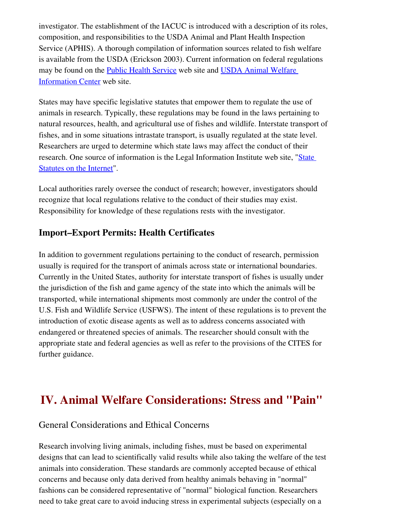investigator. The establishment of the IACUC is introduced with a description of its roles, composition, and responsibilities to the USDA Animal and Plant Health Inspection Service (APHIS). A thorough compilation of information sources related to fish welfare is available from the USDA (Erickson 2003). Current information on federal regulations may be found on the [Public Health Service](http://grants.nih.gov/grants/olaw/tutorial/) web site and [USDA Animal Welfare](http://www.nal.usda.gov/awic/legislat/awicregs.htm) [Information Center](http://www.nal.usda.gov/awic/legislat/awicregs.htm) web site.

States may have specific legislative statutes that empower them to regulate the use of animals in research. Typically, these regulations may be found in the laws pertaining to natural resources, health, and agricultural use of fishes and wildlife. Interstate transport of fishes, and in some situations intrastate transport, is usually regulated at the state level. Researchers are urged to determine which state laws may affect the conduct of their research. One source of information is the Legal Information Institute web site, "[State](http://www.law.cornell.edu/topics/state_statutes.html) [Statutes on the Internet](http://www.law.cornell.edu/topics/state_statutes.html)".

Local authorities rarely oversee the conduct of research; however, investigators should recognize that local regulations relative to the conduct of their studies may exist. Responsibility for knowledge of these regulations rests with the investigator.

# <span id="page-14-1"></span>Import–Export Permits: Health Certificates

In addition to government regulations pertaining to the conduct of research, permission usually is required for the transport of animals across state or international boundaries. Currently in the United States, authority for interstate transport of fishes is usually under the jurisdiction of the fish and game agency of the state into which the animals will be transported, while international shipments most commonly are under the control of the U.S. Fish and Wildlife Service (USFWS). The intent of these regulations is to prevent the introduction of exotic disease agents as well as to address concerns associated with endangered or threatened species of animals. The researcher should consult with the appropriate state and federal agencies as well as refer to the provisions of the CITES for further guidance.

# IV. Animal Welfare Considerations: Stress and "Pain"

### <span id="page-14-0"></span>General Considerations and Ethical Concerns

Research involving living animals, including fishes, must be based on experimental designs that can lead to scientifically valid results while also taking the welfare of the test animals into consideration. These standards are commonly accepted because of ethical concerns and because only data derived from healthy animals behaving in "normal" fashions can be considered representative of "normal" biological function. Researchers need to take great care to avoid inducing stress in experimental subjects (especially on a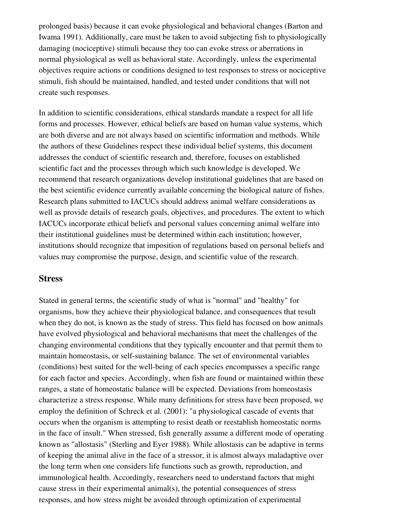prolonged basis) because it can evoke physiological and behavioral changes (Barton and Iwama 1991). Additionally, care must be taken to avoid subjecting fish to physiologically damaging (nociceptive) stimuli because they too can evoke stress or aberrations in normal physiological as well as behavioral state. Accordingly, unless the experimental objectives require actions or conditions designed to test responses to stress or nociceptive stimuli, fish should be maintained, handled, and tested under conditions that will not create such responses.

In addition to scientific considerations, ethical standards mandate a respect for all life forms and processes. However, ethical beliefs are based on human value systems, which are both diverse and are not always based on scientific information and methods. While the authors of these Guidelines respect these individual belief systems, this document addresses the conduct of scientific research and, therefore, focuses on established scientific fact and the processes through which such knowledge is developed. We recommend that research organizations develop institutional guidelines that are based on the best scientific evidence currently available concerning the biological nature of fishes. Research plans submitted to IACUCs should address animal welfare considerations as well as provide details of research goals, objectives, and procedures. The extent to which IACUCs incorporate ethical beliefs and personal values concerning animal welfare into their institutional guidelines must be determined within each institution; however, institutions should recognize that imposition of regulations based on personal beliefs and values may compromise the purpose, design, and scientific value of the research.

#### <span id="page-15-0"></span>**Stress**

Stated in general terms, the scientific study of what is "normal" and "healthy" for organisms, how they achieve their physiological balance, and consequences that result when they do not, is known as the study of stress. This field has focused on how animals have evolved physiological and behavioral mechanisms that meet the challenges of the changing environmental conditions that they typically encounter and that permit them to maintain homeostasis, or self-sustaining balance. The set of environmental variables (conditions) best suited for the well-being of each species encompasses a specific range for each factor and species. Accordingly, when fish are found or maintained within these ranges, a state of homeostatic balance will be expected. Deviations from homeostasis characterize a stress response. While many definitions for stress have been proposed, we employ the definition of Schreck et al. (2001): "a physiological cascade of events that occurs when the organism is attempting to resist death or reestablish homeostatic norms in the face of insult." When stressed, fish generally assume a different mode of operating known as "allostasis" (Sterling and Eyer 1988). While allostasis can be adaptive in terms of keeping the animal alive in the face of a stressor, it is almost always maladaptive over the long term when one considers life functions such as growth, reproduction, and immunological health. Accordingly, researchers need to understand factors that might cause stress in their experimental animal(s), the potential consequences of stress responses, and how stress might be avoided through optimization of experimental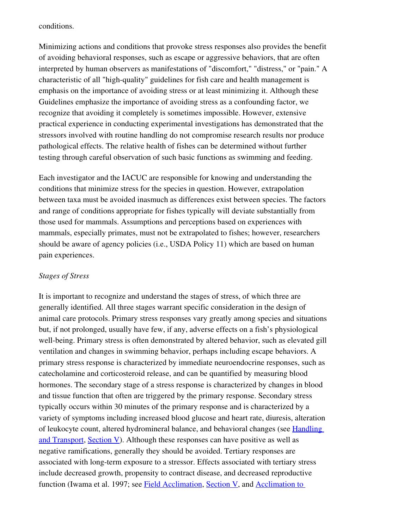conditions.

Minimizing actions and conditions that provoke stress responses also provides the benefit of avoiding behavioral responses, such as escape or aggressive behaviors, that are often interpreted by human observers as manifestations of "discomfort," "distress," or "pain." A characteristic of all "high-quality" guidelines for fish care and health management is emphasis on the importance of avoiding stress or at least minimizing it. Although these Guidelines emphasize the importance of avoiding stress as a confounding factor, we recognize that avoiding it completely is sometimes impossible. However, extensive practical experience in conducting experimental investigations has demonstrated that the stressors involved with routine handling do not compromise research results nor produce pathological effects. The relative health of fishes can be determined without further testing through careful observation of such basic functions as swimming and feeding.

Each investigator and the IACUC are responsible for knowing and understanding the conditions that minimize stress for the species in question. However, extrapolation between taxa must be avoided inasmuch as differences exist between species. The factors and range of conditions appropriate for fishes typically will deviate substantially from those used for mammals. Assumptions and perceptions based on experiences with mammals, especially primates, must not be extrapolated to fishes; however, researchers should be aware of agency policies (i.e., USDA Policy 11) which are based on human pain experiences.

#### <span id="page-16-0"></span>*Stages of Stress*

It is important to recognize and understand the stages of stress, of which three are generally identified. All three stages warrant specific consideration in the design of animal care protocols. Primary stress responses vary greatly among species and situations but, if not prolonged, usually have few, if any, adverse effects on a fish's physiological well-being. Primary stress is often demonstrated by altered behavior, such as elevated gill ventilation and changes in swimming behavior, perhaps including escape behaviors. A primary stress response is characterized by immediate neuroendocrine responses, such as catecholamine and corticosteroid release, and can be quantified by measuring blood hormones. The secondary stage of a stress response is characterized by changes in blood and tissue function that often are triggered by the primary response. Secondary stress typically occurs within 30 minutes of the primary response and is characterized by a variety of symptoms including increased blood glucose and heart rate, diuresis, alteration of leukocyte count, altered hydromineral balance, and behavioral changes (see [Handling](#page-25-0) [and Transport](#page-25-0), [Section V](#page-20-2)). Although these responses can have positive as well as negative ramifications, generally they should be avoided. Tertiary responses are associated with long-term exposure to a stressor. Effects associated with tertiary stress include decreased growth, propensity to contract disease, and decreased reproductive function (Iwama et al. 1997; see [Field Acclimation,](#page-27-1) [Section V](#page-20-2), and [Acclimation to](#page-33-1)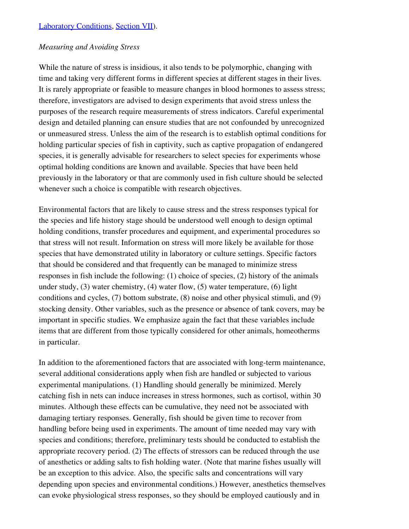#### <span id="page-17-0"></span>*Measuring and Avoiding Stress*

While the nature of stress is insidious, it also tends to be polymorphic, changing with time and taking very different forms in different species at different stages in their lives. It is rarely appropriate or feasible to measure changes in blood hormones to assess stress; therefore, investigators are advised to design experiments that avoid stress unless the purposes of the research require measurements of stress indicators. Careful experimental design and detailed planning can ensure studies that are not confounded by unrecognized or unmeasured stress. Unless the aim of the research is to establish optimal conditions for holding particular species of fish in captivity, such as captive propagation of endangered species, it is generally advisable for researchers to select species for experiments whose optimal holding conditions are known and available. Species that have been held previously in the laboratory or that are commonly used in fish culture should be selected whenever such a choice is compatible with research objectives.

Environmental factors that are likely to cause stress and the stress responses typical for the species and life history stage should be understood well enough to design optimal holding conditions, transfer procedures and equipment, and experimental procedures so that stress will not result. Information on stress will more likely be available for those species that have demonstrated utility in laboratory or culture settings. Specific factors that should be considered and that frequently can be managed to minimize stress responses in fish include the following: (1) choice of species, (2) history of the animals under study, (3) water chemistry, (4) water flow, (5) water temperature, (6) light conditions and cycles, (7) bottom substrate, (8) noise and other physical stimuli, and (9) stocking density. Other variables, such as the presence or absence of tank covers, may be important in specific studies. We emphasize again the fact that these variables include items that are different from those typically considered for other animals, homeotherms in particular.

In addition to the aforementioned factors that are associated with long-term maintenance, several additional considerations apply when fish are handled or subjected to various experimental manipulations. (1) Handling should generally be minimized. Merely catching fish in nets can induce increases in stress hormones, such as cortisol, within 30 minutes. Although these effects can be cumulative, they need not be associated with damaging tertiary responses. Generally, fish should be given time to recover from handling before being used in experiments. The amount of time needed may vary with species and conditions; therefore, preliminary tests should be conducted to establish the appropriate recovery period. (2) The effects of stressors can be reduced through the use of anesthetics or adding salts to fish holding water. (Note that marine fishes usually will be an exception to this advice. Also, the specific salts and concentrations will vary depending upon species and environmental conditions.) However, anesthetics themselves can evoke physiological stress responses, so they should be employed cautiously and in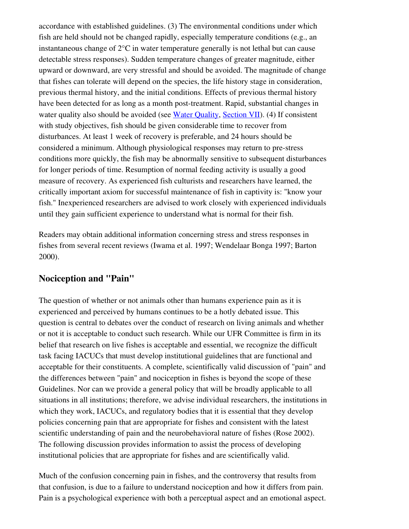accordance with established guidelines. (3) The environmental conditions under which fish are held should not be changed rapidly, especially temperature conditions (e.g., an instantaneous change of 2°C in water temperature generally is not lethal but can cause detectable stress responses). Sudden temperature changes of greater magnitude, either upward or downward, are very stressful and should be avoided. The magnitude of change that fishes can tolerate will depend on the species, the life history stage in consideration, previous thermal history, and the initial conditions. Effects of previous thermal history have been detected for as long as a month post-treatment. Rapid, substantial changes in water quality also should be avoided (see [Water Quality,](#page-36-0) [Section VII](#page-32-2)). (4) If consistent with study objectives, fish should be given considerable time to recover from disturbances. At least 1 week of recovery is preferable, and 24 hours should be considered a minimum. Although physiological responses may return to pre-stress conditions more quickly, the fish may be abnormally sensitive to subsequent disturbances for longer periods of time. Resumption of normal feeding activity is usually a good measure of recovery. As experienced fish culturists and researchers have learned, the critically important axiom for successful maintenance of fish in captivity is: "know your fish." Inexperienced researchers are advised to work closely with experienced individuals until they gain sufficient experience to understand what is normal for their fish.

Readers may obtain additional information concerning stress and stress responses in fishes from several recent reviews (Iwama et al. 1997; Wendelaar Bonga 1997; Barton 2000).

### <span id="page-18-0"></span>Nociception and "Pain"

The question of whether or not animals other than humans experience pain as it is experienced and perceived by humans continues to be a hotly debated issue. This question is central to debates over the conduct of research on living animals and whether or not it is acceptable to conduct such research. While our UFR Committee is firm in its belief that research on live fishes is acceptable and essential, we recognize the difficult task facing IACUCs that must develop institutional guidelines that are functional and acceptable for their constituents. A complete, scientifically valid discussion of "pain" and the differences between "pain" and nociception in fishes is beyond the scope of these Guidelines. Nor can we provide a general policy that will be broadly applicable to all situations in all institutions; therefore, we advise individual researchers, the institutions in which they work, IACUCs, and regulatory bodies that it is essential that they develop policies concerning pain that are appropriate for fishes and consistent with the latest scientific understanding of pain and the neurobehavioral nature of fishes (Rose 2002). The following discussion provides information to assist the process of developing institutional policies that are appropriate for fishes and are scientifically valid.

Much of the confusion concerning pain in fishes, and the controversy that results from that confusion, is due to a failure to understand nociception and how it differs from pain. Pain is a psychological experience with both a perceptual aspect and an emotional aspect.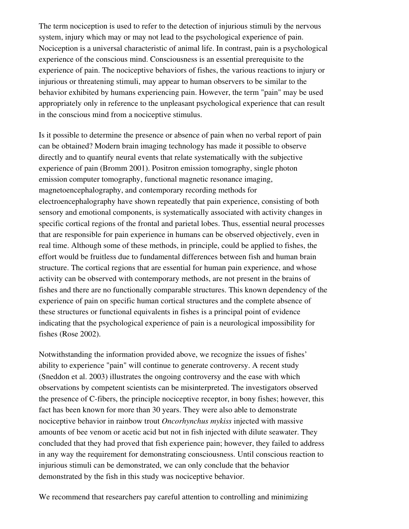The term nociception is used to refer to the detection of injurious stimuli by the nervous system, injury which may or may not lead to the psychological experience of pain. Nociception is a universal characteristic of animal life. In contrast, pain is a psychological experience of the conscious mind. Consciousness is an essential prerequisite to the experience of pain. The nociceptive behaviors of fishes, the various reactions to injury or injurious or threatening stimuli, may appear to human observers to be similar to the behavior exhibited by humans experiencing pain. However, the term "pain" may be used appropriately only in reference to the unpleasant psychological experience that can result in the conscious mind from a nociceptive stimulus.

Is it possible to determine the presence or absence of pain when no verbal report of pain can be obtained? Modern brain imaging technology has made it possible to observe directly and to quantify neural events that relate systematically with the subjective experience of pain (Bromm 2001). Positron emission tomography, single photon emission computer tomography, functional magnetic resonance imaging, magnetoencephalography, and contemporary recording methods for electroencephalography have shown repeatedly that pain experience, consisting of both sensory and emotional components, is systematically associated with activity changes in specific cortical regions of the frontal and parietal lobes. Thus, essential neural processes that are responsible for pain experience in humans can be observed objectively, even in real time. Although some of these methods, in principle, could be applied to fishes, the effort would be fruitless due to fundamental differences between fish and human brain structure. The cortical regions that are essential for human pain experience, and whose activity can be observed with contemporary methods, are not present in the brains of fishes and there are no functionally comparable structures. This known dependency of the experience of pain on specific human cortical structures and the complete absence of these structures or functional equivalents in fishes is a principal point of evidence indicating that the psychological experience of pain is a neurological impossibility for fishes (Rose 2002).

Notwithstanding the information provided above, we recognize the issues of fishes' ability to experience "pain" will continue to generate controversy. A recent study (Sneddon et al. 2003) illustrates the ongoing controversy and the ease with which observations by competent scientists can be misinterpreted. The investigators observed the presence of C-fibers, the principle nociceptive receptor, in bony fishes; however, this fact has been known for more than 30 years. They were also able to demonstrate nociceptive behavior in rainbow trout *Oncorhynchus mykiss* injected with massive amounts of bee venom or acetic acid but not in fish injected with dilute seawater. They concluded that they had proved that fish experience pain; however, they failed to address in any way the requirement for demonstrating consciousness. Until conscious reaction to injurious stimuli can be demonstrated, we can only conclude that the behavior demonstrated by the fish in this study was nociceptive behavior.

We recommend that researchers pay careful attention to controlling and minimizing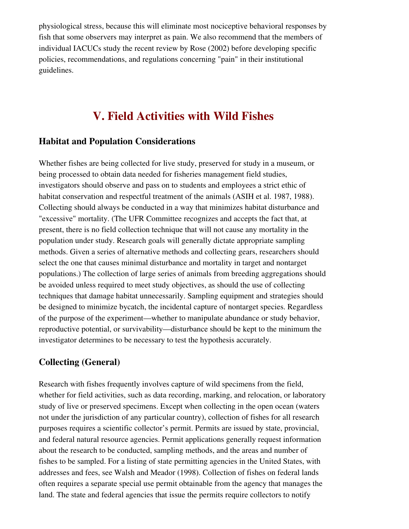physiological stress, because this will eliminate most nociceptive behavioral responses by fish that some observers may interpret as pain. We also recommend that the members of individual IACUCs study the recent review by Rose (2002) before developing specific policies, recommendations, and regulations concerning "pain" in their institutional guidelines.

# <span id="page-20-2"></span>V. Field Activities with Wild Fishes

### <span id="page-20-1"></span>Habitat and Population Considerations

Whether fishes are being collected for live study, preserved for study in a museum, or being processed to obtain data needed for fisheries management field studies, investigators should observe and pass on to students and employees a strict ethic of habitat conservation and respectful treatment of the animals (ASIH et al. 1987, 1988). Collecting should always be conducted in a way that minimizes habitat disturbance and "excessive" mortality. (The UFR Committee recognizes and accepts the fact that, at present, there is no field collection technique that will not cause any mortality in the population under study. Research goals will generally dictate appropriate sampling methods. Given a series of alternative methods and collecting gears, researchers should select the one that causes minimal disturbance and mortality in target and nontarget populations.) The collection of large series of animals from breeding aggregations should be avoided unless required to meet study objectives, as should the use of collecting techniques that damage habitat unnecessarily. Sampling equipment and strategies should be designed to minimize bycatch, the incidental capture of nontarget species. Regardless of the purpose of the experiment—whether to manipulate abundance or study behavior, reproductive potential, or survivability—disturbance should be kept to the minimum the investigator determines to be necessary to test the hypothesis accurately.

# <span id="page-20-0"></span>Collecting (General)

Research with fishes frequently involves capture of wild specimens from the field, whether for field activities, such as data recording, marking, and relocation, or laboratory study of live or preserved specimens. Except when collecting in the open ocean (waters not under the jurisdiction of any particular country), collection of fishes for all research purposes requires a scientific collector's permit. Permits are issued by state, provincial, and federal natural resource agencies. Permit applications generally request information about the research to be conducted, sampling methods, and the areas and number of fishes to be sampled. For a listing of state permitting agencies in the United States, with addresses and fees, see Walsh and Meador (1998). Collection of fishes on federal lands often requires a separate special use permit obtainable from the agency that manages the land. The state and federal agencies that issue the permits require collectors to notify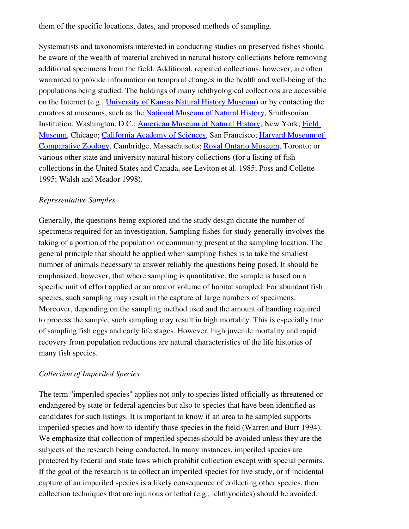them of the specific locations, dates, and proposed methods of sampling.

Systematists and taxonomists interested in conducting studies on preserved fishes should be aware of the wealth of material archived in natural history collections before removing additional specimens from the field. Additional, repeated collections, however, are often warranted to provide information on temporal changes in the health and well-being of the populations being studied. The holdings of many ichthyological collections are accessible on the Internet (e.g., [University of Kansas Natural History Museum\)](http://www.nhm.ku.edu/fishes) or by contacting the curators at museums, such as the [National Museum of Natural History](http://www.nmnh.si.edu/vert/fish.html), Smithsonian Institution, Washington, D.C.; [American Museum of Natural History,](http://www.amnh.org/) New York; [Field](http://www.fieldmuseum.org/research_collections/default.htm) [Museum](http://www.fieldmuseum.org/research_collections/default.htm), Chicago; [California Academy of Sciences](http://www.calacademy.org/naturalhistory/), San Francisco; [Harvard Museum of](http://www.mcz.harvard.edu/) [Comparative Zoology,](http://www.mcz.harvard.edu/) Cambridge, Massachusetts; [Royal Ontario Museum](http://www.rom.on.ca/), Toronto; or various other state and university natural history collections (for a listing of fish collections in the United States and Canada, see Leviton et al. 1985; Poss and Collette 1995; Walsh and Meador 1998).

#### <span id="page-21-1"></span>*Representative Samples*

Generally, the questions being explored and the study design dictate the number of specimens required for an investigation. Sampling fishes for study generally involves the taking of a portion of the population or community present at the sampling location. The general principle that should be applied when sampling fishes is to take the smallest number of animals necessary to answer reliably the questions being posed. It should be emphasized, however, that where sampling is quantitative, the sample is based on a specific unit of effort applied or an area or volume of habitat sampled. For abundant fish species, such sampling may result in the capture of large numbers of specimens. Moreover, depending on the sampling method used and the amount of handing required to process the sample, such sampling may result in high mortality. This is especially true of sampling fish eggs and early life stages. However, high juvenile mortality and rapid recovery from population reductions are natural characteristics of the life histories of many fish species.

#### <span id="page-21-0"></span>*Collection of Imperiled Species*

The term "imperiled species" applies not only to species listed officially as threatened or endangered by state or federal agencies but also to species that have been identified as candidates for such listings. It is important to know if an area to be sampled supports imperiled species and how to identify those species in the field (Warren and Burr 1994). We emphasize that collection of imperiled species should be avoided unless they are the subjects of the research being conducted. In many instances, imperiled species are protected by federal and state laws which prohibit collection except with special permits. If the goal of the research is to collect an imperiled species for live study, or if incidental capture of an imperiled species is a likely consequence of collecting other species, then collection techniques that are injurious or lethal (e.g., ichthyocides) should be avoided.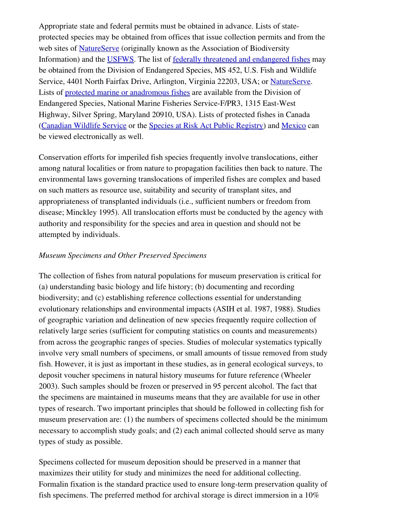Appropriate state and federal permits must be obtained in advance. Lists of stateprotected species may be obtained from offices that issue collection permits and from the web sites of [NatureServe](http://www.natureserve.org/visitLocal/index.jsp) (originally known as the Association of Biodiversity Information) and the [USFWS.](http://endangered.fws.gov/wildlife.html#Species) The list of [federally threatened and endangered fishes](http://endangered.fws.gov/wildlife.html) may be obtained from the Division of Endangered Species, MS 452, U.S. Fish and Wildlife Service, 4401 North Fairfax Drive, Arlington, Virginia 22203, USA; or [NatureServe](http://www.natureserve.org/getData/dataResources.jsp). Lists of [protected marine or anadromous fishes](http://www.nmfs.noaa.gov/) are available from the Division of Endangered Species, National Marine Fisheries Service-F/PR3, 1315 East-West Highway, Silver Spring, Maryland 20910, USA). Lists of protected fishes in Canada [\(Canadian Wildlife Service](http://www.cws-scf.ec.gc.ca/) or the [Species at Risk Act Public Registry](http://sararegistry.gc.ca/species/default_e.cfm)) and [Mexico](http://www.conabio.gob.mx/institucion/estrategia_nacional/pecesnom.htm) can be viewed electronically as well.

Conservation efforts for imperiled fish species frequently involve translocations, either among natural localities or from nature to propagation facilities then back to nature. The environmental laws governing translocations of imperiled fishes are complex and based on such matters as resource use, suitability and security of transplant sites, and appropriateness of transplanted individuals (i.e., sufficient numbers or freedom from disease; Minckley 1995). All translocation efforts must be conducted by the agency with authority and responsibility for the species and area in question and should not be attempted by individuals.

#### <span id="page-22-0"></span>*Museum Specimens and Other Preserved Specimens*

The collection of fishes from natural populations for museum preservation is critical for (a) understanding basic biology and life history; (b) documenting and recording biodiversity; and (c) establishing reference collections essential for understanding evolutionary relationships and environmental impacts (ASIH et al. 1987, 1988). Studies of geographic variation and delineation of new species frequently require collection of relatively large series (sufficient for computing statistics on counts and measurements) from across the geographic ranges of species. Studies of molecular systematics typically involve very small numbers of specimens, or small amounts of tissue removed from study fish. However, it is just as important in these studies, as in general ecological surveys, to deposit voucher specimens in natural history museums for future reference (Wheeler 2003). Such samples should be frozen or preserved in 95 percent alcohol. The fact that the specimens are maintained in museums means that they are available for use in other types of research. Two important principles that should be followed in collecting fish for museum preservation are: (1) the numbers of specimens collected should be the minimum necessary to accomplish study goals; and (2) each animal collected should serve as many types of study as possible.

Specimens collected for museum deposition should be preserved in a manner that maximizes their utility for study and minimizes the need for additional collecting. Formalin fixation is the standard practice used to ensure long-term preservation quality of fish specimens. The preferred method for archival storage is direct immersion in a 10%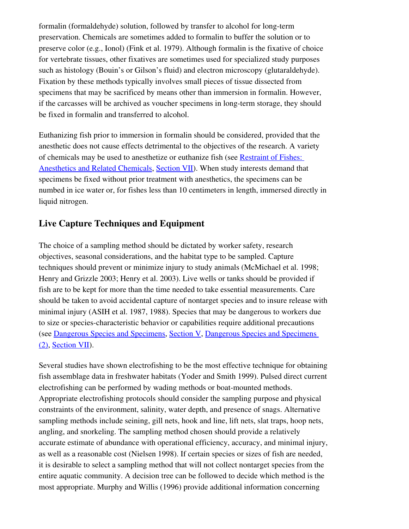formalin (formaldehyde) solution, followed by transfer to alcohol for long-term preservation. Chemicals are sometimes added to formalin to buffer the solution or to preserve color (e.g., Ionol) (Fink et al. 1979). Although formalin is the fixative of choice for vertebrate tissues, other fixatives are sometimes used for specialized study purposes such as histology (Bouin's or Gilson's fluid) and electron microscopy (glutaraldehyde). Fixation by these methods typically involves small pieces of tissue dissected from specimens that may be sacrificed by means other than immersion in formalin. However, if the carcasses will be archived as voucher specimens in long-term storage, they should be fixed in formalin and transferred to alcohol.

Euthanizing fish prior to immersion in formalin should be considered, provided that the anesthetic does not cause effects detrimental to the objectives of the research. A variety of chemicals may be used to anesthetize or euthanize fish (see [Restraint of Fishes:](#page-39-0) [Anesthetics and Related Chemicals,](#page-39-0) [Section VII](#page-32-2)). When study interests demand that specimens be fixed without prior treatment with anesthetics, the specimens can be numbed in ice water or, for fishes less than 10 centimeters in length, immersed directly in liquid nitrogen.

# <span id="page-23-0"></span>Live Capture Techniques and Equipment

The choice of a sampling method should be dictated by worker safety, research objectives, seasonal considerations, and the habitat type to be sampled. Capture techniques should prevent or minimize injury to study animals (McMichael et al. 1998; Henry and Grizzle 2003; Henry et al. 2003). Live wells or tanks should be provided if fish are to be kept for more than the time needed to take essential measurements. Care should be taken to avoid accidental capture of nontarget species and to insure release with minimal injury (ASIH et al. 1987, 1988). Species that may be dangerous to workers due to size or species-characteristic behavior or capabilities require additional precautions (see [Dangerous Species and Specimens,](#page-24-0) [Section V](#page-20-2), [Dangerous Species and Specimens](#page-39-1) [\(2\)](#page-39-1), [Section VII\)](#page-32-2).

Several studies have shown electrofishing to be the most effective technique for obtaining fish assemblage data in freshwater habitats (Yoder and Smith 1999). Pulsed direct current electrofishing can be performed by wading methods or boat-mounted methods. Appropriate electrofishing protocols should consider the sampling purpose and physical constraints of the environment, salinity, water depth, and presence of snags. Alternative sampling methods include seining, gill nets, hook and line, lift nets, slat traps, hoop nets, angling, and snorkeling. The sampling method chosen should provide a relatively accurate estimate of abundance with operational efficiency, accuracy, and minimal injury, as well as a reasonable cost (Nielsen 1998). If certain species or sizes of fish are needed, it is desirable to select a sampling method that will not collect nontarget species from the entire aquatic community. A decision tree can be followed to decide which method is the most appropriate. Murphy and Willis (1996) provide additional information concerning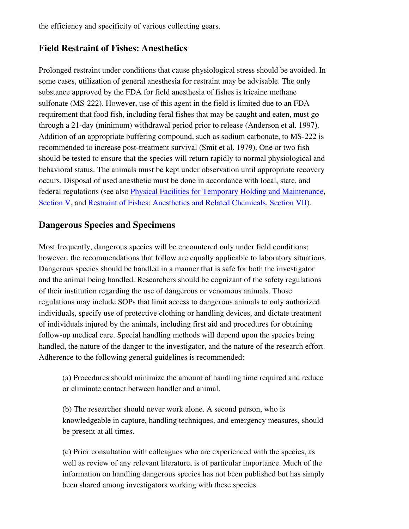the efficiency and specificity of various collecting gears.

### <span id="page-24-1"></span>Field Restraint of Fishes: Anesthetics

Prolonged restraint under conditions that cause physiological stress should be avoided. In some cases, utilization of general anesthesia for restraint may be advisable. The only substance approved by the FDA for field anesthesia of fishes is tricaine methane sulfonate (MS-222). However, use of this agent in the field is limited due to an FDA requirement that food fish, including feral fishes that may be caught and eaten, must go through a 21-day (minimum) withdrawal period prior to release (Anderson et al. 1997). Addition of an appropriate buffering compound, such as sodium carbonate, to MS-222 is recommended to increase post-treatment survival (Smit et al. 1979). One or two fish should be tested to ensure that the species will return rapidly to normal physiological and behavioral status. The animals must be kept under observation until appropriate recovery occurs. Disposal of used anesthetic must be done in accordance with local, state, and federal regulations (see also [Physical Facilities for Temporary Holding and Maintenance](#page-26-0), [Section V,](#page-20-2) and [Restraint of Fishes: Anesthetics and Related Chemicals](#page-39-0), [Section VII\)](#page-32-2).

### <span id="page-24-0"></span>Dangerous Species and Specimens

Most frequently, dangerous species will be encountered only under field conditions; however, the recommendations that follow are equally applicable to laboratory situations. Dangerous species should be handled in a manner that is safe for both the investigator and the animal being handled. Researchers should be cognizant of the safety regulations of their institution regarding the use of dangerous or venomous animals. Those regulations may include SOPs that limit access to dangerous animals to only authorized individuals, specify use of protective clothing or handling devices, and dictate treatment of individuals injured by the animals, including first aid and procedures for obtaining follow-up medical care. Special handling methods will depend upon the species being handled, the nature of the danger to the investigator, and the nature of the research effort. Adherence to the following general guidelines is recommended:

(a) Procedures should minimize the amount of handling time required and reduce or eliminate contact between handler and animal.

(b) The researcher should never work alone. A second person, who is knowledgeable in capture, handling techniques, and emergency measures, should be present at all times.

(c) Prior consultation with colleagues who are experienced with the species, as well as review of any relevant literature, is of particular importance. Much of the information on handling dangerous species has not been published but has simply been shared among investigators working with these species.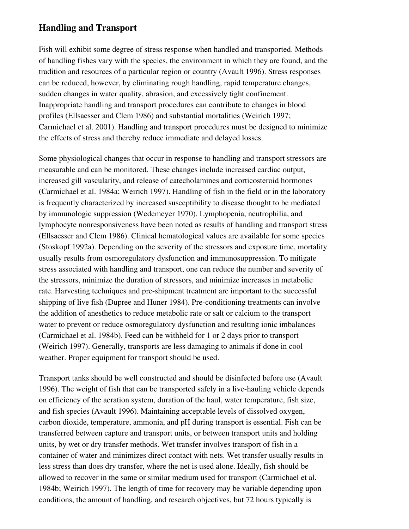### <span id="page-25-0"></span>Handling and Transport

Fish will exhibit some degree of stress response when handled and transported. Methods of handling fishes vary with the species, the environment in which they are found, and the tradition and resources of a particular region or country (Avault 1996). Stress responses can be reduced, however, by eliminating rough handling, rapid temperature changes, sudden changes in water quality, abrasion, and excessively tight confinement. Inappropriate handling and transport procedures can contribute to changes in blood profiles (Ellsaesser and Clem 1986) and substantial mortalities (Weirich 1997; Carmichael et al. 2001). Handling and transport procedures must be designed to minimize the effects of stress and thereby reduce immediate and delayed losses.

Some physiological changes that occur in response to handling and transport stressors are measurable and can be monitored. These changes include increased cardiac output, increased gill vascularity, and release of catecholamines and corticosteroid hormones (Carmichael et al. 1984a; Weirich 1997). Handling of fish in the field or in the laboratory is frequently characterized by increased susceptibility to disease thought to be mediated by immunologic suppression (Wedemeyer 1970). Lymphopenia, neutrophilia, and lymphocyte nonresponsiveness have been noted as results of handling and transport stress (Ellsaesser and Clem 1986). Clinical hematological values are available for some species (Stoskopf 1992a). Depending on the severity of the stressors and exposure time, mortality usually results from osmoregulatory dysfunction and immunosuppression. To mitigate stress associated with handling and transport, one can reduce the number and severity of the stressors, minimize the duration of stressors, and minimize increases in metabolic rate. Harvesting techniques and preshipment treatment are important to the successful shipping of live fish (Dupree and Huner 1984). Pre-conditioning treatments can involve the addition of anesthetics to reduce metabolic rate or salt or calcium to the transport water to prevent or reduce osmoregulatory dysfunction and resulting ionic imbalances (Carmichael et al. 1984b). Feed can be withheld for 1 or 2 days prior to transport (Weirich 1997). Generally, transports are less damaging to animals if done in cool weather. Proper equipment for transport should be used.

Transport tanks should be well constructed and should be disinfected before use (Avault 1996). The weight of fish that can be transported safely in a livehauling vehicle depends on efficiency of the aeration system, duration of the haul, water temperature, fish size, and fish species (Avault 1996). Maintaining acceptable levels of dissolved oxygen, carbon dioxide, temperature, ammonia, and pH during transport is essential. Fish can be transferred between capture and transport units, or between transport units and holding units, by wet or dry transfer methods. Wet transfer involves transport of fish in a container of water and minimizes direct contact with nets. Wet transfer usually results in less stress than does dry transfer, where the net is used alone. Ideally, fish should be allowed to recover in the same or similar medium used for transport (Carmichael et al. 1984b; Weirich 1997). The length of time for recovery may be variable depending upon conditions, the amount of handling, and research objectives, but 72 hours typically is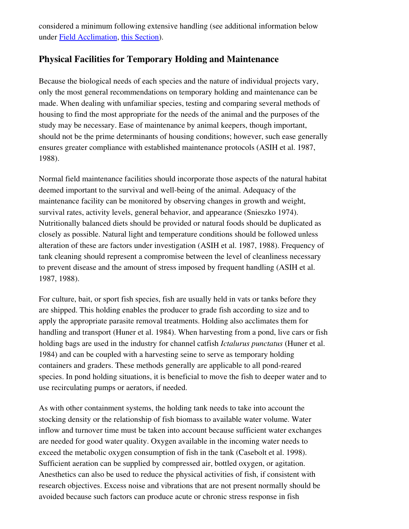considered a minimum following extensive handling (see additional information below under [Field Acclimation,](#page-27-1) [this Section\)](#page-32-2).

### <span id="page-26-0"></span>Physical Facilities for Temporary Holding and Maintenance

Because the biological needs of each species and the nature of individual projects vary, only the most general recommendations on temporary holding and maintenance can be made. When dealing with unfamiliar species, testing and comparing several methods of housing to find the most appropriate for the needs of the animal and the purposes of the study may be necessary. Ease of maintenance by animal keepers, though important, should not be the prime determinants of housing conditions; however, such ease generally ensures greater compliance with established maintenance protocols (ASIH et al. 1987, 1988).

Normal field maintenance facilities should incorporate those aspects of the natural habitat deemed important to the survival and well-being of the animal. Adequacy of the maintenance facility can be monitored by observing changes in growth and weight, survival rates, activity levels, general behavior, and appearance (Snieszko 1974). Nutritionally balanced diets should be provided or natural foods should be duplicated as closely as possible. Natural light and temperature conditions should be followed unless alteration of these are factors under investigation (ASIH et al. 1987, 1988). Frequency of tank cleaning should represent a compromise between the level of cleanliness necessary to prevent disease and the amount of stress imposed by frequent handling (ASIH et al. 1987, 1988).

For culture, bait, or sport fish species, fish are usually held in vats or tanks before they are shipped. This holding enables the producer to grade fish according to size and to apply the appropriate parasite removal treatments. Holding also acclimates them for handling and transport (Huner et al. 1984). When harvesting from a pond, live cars or fish holding bags are used in the industry for channel catfish *Ictalurus punctatus* (Huner et al. 1984) and can be coupled with a harvesting seine to serve as temporary holding containers and graders. These methods generally are applicable to all pondreared species. In pond holding situations, it is beneficial to move the fish to deeper water and to use recirculating pumps or aerators, if needed.

As with other containment systems, the holding tank needs to take into account the stocking density or the relationship of fish biomass to available water volume. Water inflow and turnover time must be taken into account because sufficient water exchanges are needed for good water quality. Oxygen available in the incoming water needs to exceed the metabolic oxygen consumption of fish in the tank (Casebolt et al. 1998). Sufficient aeration can be supplied by compressed air, bottled oxygen, or agitation. Anesthetics can also be used to reduce the physical activities of fish, if consistent with research objectives. Excess noise and vibrations that are not present normally should be avoided because such factors can produce acute or chronic stress response in fish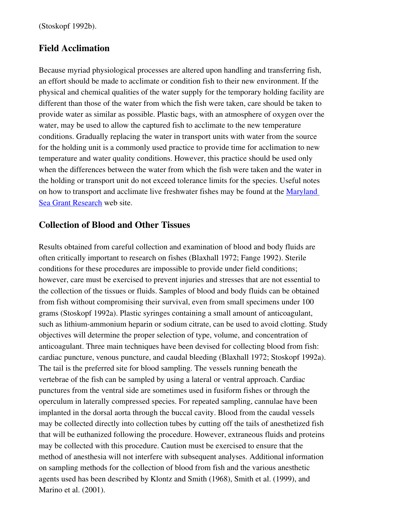(Stoskopf 1992b).

#### <span id="page-27-1"></span>Field Acclimation

Because myriad physiological processes are altered upon handling and transferring fish, an effort should be made to acclimate or condition fish to their new environment. If the physical and chemical qualities of the water supply for the temporary holding facility are different than those of the water from which the fish were taken, care should be taken to provide water as similar as possible. Plastic bags, with an atmosphere of oxygen over the water, may be used to allow the captured fish to acclimate to the new temperature conditions. Gradually replacing the water in transport units with water from the source for the holding unit is a commonly used practice to provide time for acclimation to new temperature and water quality conditions. However, this practice should be used only when the differences between the water from which the fish were taken and the water in the holding or transport unit do not exceed tolerance limits for the species. Useful notes on how to transport and acclimate live freshwater fishes may be found at the [Maryland](http://www.mdsg.umd.edu/Research/fishtemp.html#intro) [Sea Grant Research](http://www.mdsg.umd.edu/Research/fishtemp.html#intro) web site.

### <span id="page-27-0"></span>Collection of Blood and Other Tissues

Results obtained from careful collection and examination of blood and body fluids are often critically important to research on fishes (Blaxhall 1972; Fange 1992). Sterile conditions for these procedures are impossible to provide under field conditions; however, care must be exercised to prevent injuries and stresses that are not essential to the collection of the tissues or fluids. Samples of blood and body fluids can be obtained from fish without compromising their survival, even from small specimens under 100 grams (Stoskopf 1992a). Plastic syringes containing a small amount of anticoagulant, such as lithium-ammonium heparin or sodium citrate, can be used to avoid clotting. Study objectives will determine the proper selection of type, volume, and concentration of anticoagulant. Three main techniques have been devised for collecting blood from fish: cardiac puncture, venous puncture, and caudal bleeding (Blaxhall 1972; Stoskopf 1992a). The tail is the preferred site for blood sampling. The vessels running beneath the vertebrae of the fish can be sampled by using a lateral or ventral approach. Cardiac punctures from the ventral side are sometimes used in fusiform fishes or through the operculum in laterally compressed species. For repeated sampling, cannulae have been implanted in the dorsal aorta through the buccal cavity. Blood from the caudal vessels may be collected directly into collection tubes by cutting off the tails of anesthetized fish that will be euthanized following the procedure. However, extraneous fluids and proteins may be collected with this procedure. Caution must be exercised to ensure that the method of anesthesia will not interfere with subsequent analyses. Additional information on sampling methods for the collection of blood from fish and the various anesthetic agents used has been described by Klontz and Smith (1968), Smith et al. (1999), and Marino et al. (2001).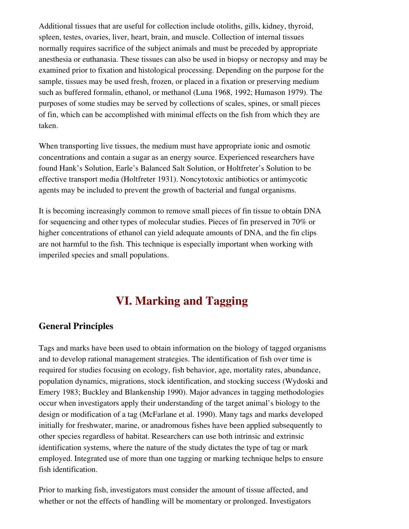Additional tissues that are useful for collection include otoliths, gills, kidney, thyroid, spleen, testes, ovaries, liver, heart, brain, and muscle. Collection of internal tissues normally requires sacrifice of the subject animals and must be preceded by appropriate anesthesia or euthanasia. These tissues can also be used in biopsy or necropsy and may be examined prior to fixation and histological processing. Depending on the purpose for the sample, tissues may be used fresh, frozen, or placed in a fixation or preserving medium such as buffered formalin, ethanol, or methanol (Luna 1968, 1992; Humason 1979). The purposes of some studies may be served by collections of scales, spines, or small pieces of fin, which can be accomplished with minimal effects on the fish from which they are taken.

When transporting live tissues, the medium must have appropriate ionic and osmotic concentrations and contain a sugar as an energy source. Experienced researchers have found Hank's Solution, Earle's Balanced Salt Solution, or Holtfreter's Solution to be effective transport media (Holtfreter 1931). Noncytotoxic antibiotics or antimycotic agents may be included to prevent the growth of bacterial and fungal organisms.

It is becoming increasingly common to remove small pieces of fin tissue to obtain DNA for sequencing and other types of molecular studies. Pieces of fin preserved in 70% or higher concentrations of ethanol can yield adequate amounts of DNA, and the fin clips are not harmful to the fish. This technique is especially important when working with imperiled species and small populations.

# <span id="page-28-1"></span>VI. Marking and Tagging

### <span id="page-28-0"></span>General Principles

Tags and marks have been used to obtain information on the biology of tagged organisms and to develop rational management strategies. The identification of fish over time is required for studies focusing on ecology, fish behavior, age, mortality rates, abundance, population dynamics, migrations, stock identification, and stocking success (Wydoski and Emery 1983; Buckley and Blankenship 1990). Major advances in tagging methodologies occur when investigators apply their understanding of the target animal's biology to the design or modification of a tag (McFarlane et al. 1990). Many tags and marks developed initially for freshwater, marine, or anadromous fishes have been applied subsequently to other species regardless of habitat. Researchers can use both intrinsic and extrinsic identification systems, where the nature of the study dictates the type of tag or mark employed. Integrated use of more than one tagging or marking technique helps to ensure fish identification.

Prior to marking fish, investigators must consider the amount of tissue affected, and whether or not the effects of handling will be momentary or prolonged. Investigators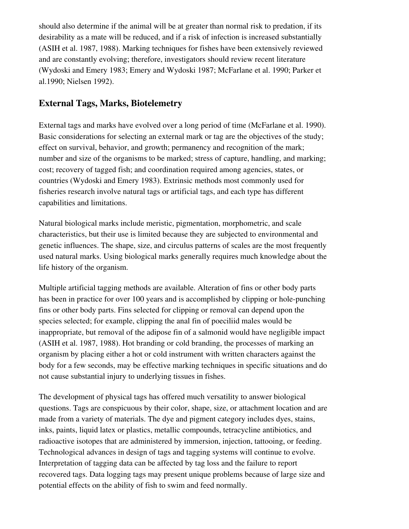should also determine if the animal will be at greater than normal risk to predation, if its desirability as a mate will be reduced, and if a risk of infection is increased substantially (ASIH et al. 1987, 1988). Marking techniques for fishes have been extensively reviewed and are constantly evolving; therefore, investigators should review recent literature (Wydoski and Emery 1983; Emery and Wydoski 1987; McFarlane et al. 1990; Parker et al.1990; Nielsen 1992).

# <span id="page-29-0"></span>External Tags, Marks, Biotelemetry

External tags and marks have evolved over a long period of time (McFarlane et al. 1990). Basic considerations for selecting an external mark or tag are the objectives of the study; effect on survival, behavior, and growth; permanency and recognition of the mark; number and size of the organisms to be marked; stress of capture, handling, and marking; cost; recovery of tagged fish; and coordination required among agencies, states, or countries (Wydoski and Emery 1983). Extrinsic methods most commonly used for fisheries research involve natural tags or artificial tags, and each type has different capabilities and limitations.

Natural biological marks include meristic, pigmentation, morphometric, and scale characteristics, but their use is limited because they are subjected to environmental and genetic influences. The shape, size, and circulus patterns of scales are the most frequently used natural marks. Using biological marks generally requires much knowledge about the life history of the organism.

Multiple artificial tagging methods are available. Alteration of fins or other body parts has been in practice for over 100 years and is accomplished by clipping or hole-punching fins or other body parts. Fins selected for clipping or removal can depend upon the species selected; for example, clipping the anal fin of poeciliid males would be inappropriate, but removal of the adipose fin of a salmonid would have negligible impact (ASIH et al. 1987, 1988). Hot branding or cold branding, the processes of marking an organism by placing either a hot or cold instrument with written characters against the body for a few seconds, may be effective marking techniques in specific situations and do not cause substantial injury to underlying tissues in fishes.

The development of physical tags has offered much versatility to answer biological questions. Tags are conspicuous by their color, shape, size, or attachment location and are made from a variety of materials. The dye and pigment category includes dyes, stains, inks, paints, liquid latex or plastics, metallic compounds, tetracycline antibiotics, and radioactive isotopes that are administered by immersion, injection, tattooing, or feeding. Technological advances in design of tags and tagging systems will continue to evolve. Interpretation of tagging data can be affected by tag loss and the failure to report recovered tags. Data logging tags may present unique problems because of large size and potential effects on the ability of fish to swim and feed normally.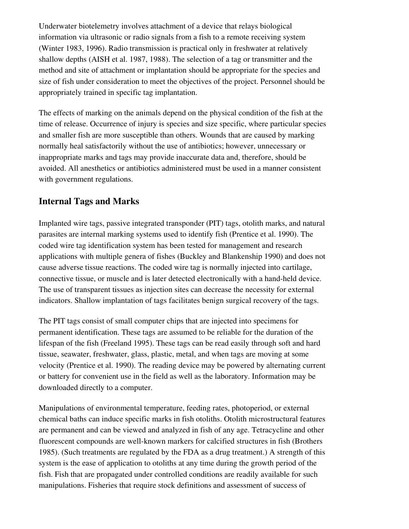Underwater biotelemetry involves attachment of a device that relays biological information via ultrasonic or radio signals from a fish to a remote receiving system (Winter 1983, 1996). Radio transmission is practical only in freshwater at relatively shallow depths (AISH et al. 1987, 1988). The selection of a tag or transmitter and the method and site of attachment or implantation should be appropriate for the species and size of fish under consideration to meet the objectives of the project. Personnel should be appropriately trained in specific tag implantation.

The effects of marking on the animals depend on the physical condition of the fish at the time of release. Occurrence of injury is species and size specific, where particular species and smaller fish are more susceptible than others. Wounds that are caused by marking normally heal satisfactorily without the use of antibiotics; however, unnecessary or inappropriate marks and tags may provide inaccurate data and, therefore, should be avoided. All anesthetics or antibiotics administered must be used in a manner consistent with government regulations.

# <span id="page-30-0"></span>Internal Tags and Marks

Implanted wire tags, passive integrated transponder (PIT) tags, otolith marks, and natural parasites are internal marking systems used to identify fish (Prentice et al. 1990). The coded wire tag identification system has been tested for management and research applications with multiple genera of fishes (Buckley and Blankenship 1990) and does not cause adverse tissue reactions. The coded wire tag is normally injected into cartilage, connective tissue, or muscle and is later detected electronically with a hand-held device. The use of transparent tissues as injection sites can decrease the necessity for external indicators. Shallow implantation of tags facilitates benign surgical recovery of the tags.

The PIT tags consist of small computer chips that are injected into specimens for permanent identification. These tags are assumed to be reliable for the duration of the lifespan of the fish (Freeland 1995). These tags can be read easily through soft and hard tissue, seawater, freshwater, glass, plastic, metal, and when tags are moving at some velocity (Prentice et al. 1990). The reading device may be powered by alternating current or battery for convenient use in the field as well as the laboratory. Information may be downloaded directly to a computer.

Manipulations of environmental temperature, feeding rates, photoperiod, or external chemical baths can induce specific marks in fish otoliths. Otolith microstructural features are permanent and can be viewed and analyzed in fish of any age. Tetracycline and other fluorescent compounds are well-known markers for calcified structures in fish (Brothers 1985). (Such treatments are regulated by the FDA as a drug treatment.) A strength of this system is the ease of application to otoliths at any time during the growth period of the fish. Fish that are propagated under controlled conditions are readily available for such manipulations. Fisheries that require stock definitions and assessment of success of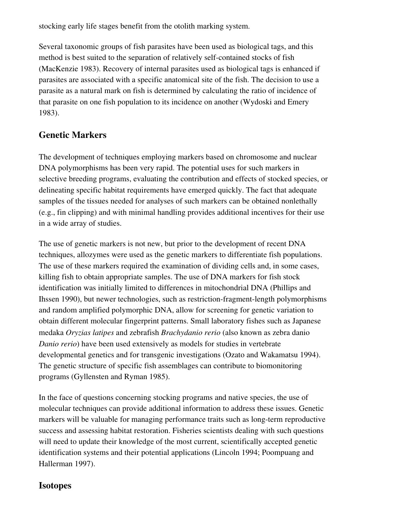stocking early life stages benefit from the otolith marking system.

Several taxonomic groups of fish parasites have been used as biological tags, and this method is best suited to the separation of relatively self-contained stocks of fish (MacKenzie 1983). Recovery of internal parasites used as biological tags is enhanced if parasites are associated with a specific anatomical site of the fish. The decision to use a parasite as a natural mark on fish is determined by calculating the ratio of incidence of that parasite on one fish population to its incidence on another (Wydoski and Emery 1983).

# <span id="page-31-1"></span>Genetic Markers

The development of techniques employing markers based on chromosome and nuclear DNA polymorphisms has been very rapid. The potential uses for such markers in selective breeding programs, evaluating the contribution and effects of stocked species, or delineating specific habitat requirements have emerged quickly. The fact that adequate samples of the tissues needed for analyses of such markers can be obtained nonlethally (e.g., fin clipping) and with minimal handling provides additional incentives for their use in a wide array of studies.

The use of genetic markers is not new, but prior to the development of recent DNA techniques, allozymes were used as the genetic markers to differentiate fish populations. The use of these markers required the examination of dividing cells and, in some cases, killing fish to obtain appropriate samples. The use of DNA markers for fish stock identification was initially limited to differences in mitochondrial DNA (Phillips and Ihssen 1990), but newer technologies, such as restriction-fragment-length polymorphisms and random amplified polymorphic DNA, allow for screening for genetic variation to obtain different molecular fingerprint patterns. Small laboratory fishes such as Japanese medaka *Oryzias latipes* and zebrafish *Brachydanio rerio* (also known as zebra danio *Danio rerio*) have been used extensively as models for studies in vertebrate developmental genetics and for transgenic investigations (Ozato and Wakamatsu 1994). The genetic structure of specific fish assemblages can contribute to biomonitoring programs (Gyllensten and Ryman 1985).

In the face of questions concerning stocking programs and native species, the use of molecular techniques can provide additional information to address these issues. Genetic markers will be valuable for managing performance traits such as long-term reproductive success and assessing habitat restoration. Fisheries scientists dealing with such questions will need to update their knowledge of the most current, scientifically accepted genetic identification systems and their potential applications (Lincoln 1994; Poompuang and Hallerman 1997).

### <span id="page-31-0"></span>Isotopes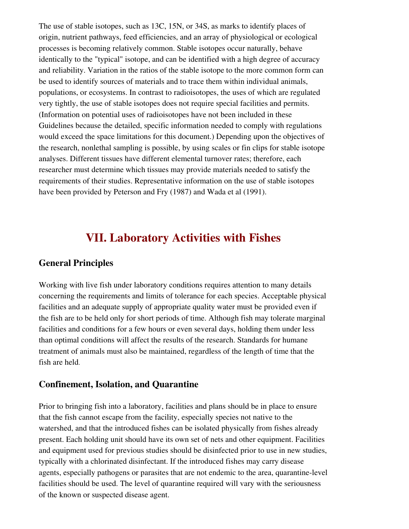The use of stable isotopes, such as 13C, 15N, or 34S, as marks to identify places of origin, nutrient pathways, feed efficiencies, and an array of physiological or ecological processes is becoming relatively common. Stable isotopes occur naturally, behave identically to the "typical" isotope, and can be identified with a high degree of accuracy and reliability. Variation in the ratios of the stable isotope to the more common form can be used to identify sources of materials and to trace them within individual animals, populations, or ecosystems. In contrast to radioisotopes, the uses of which are regulated very tightly, the use of stable isotopes does not require special facilities and permits. (Information on potential uses of radioisotopes have not been included in these Guidelines because the detailed, specific information needed to comply with regulations would exceed the space limitations for this document.) Depending upon the objectives of the research, nonlethal sampling is possible, by using scales or fin clips for stable isotope analyses. Different tissues have different elemental turnover rates; therefore, each researcher must determine which tissues may provide materials needed to satisfy the requirements of their studies. Representative information on the use of stable isotopes have been provided by Peterson and Fry (1987) and Wada et al (1991).

# <span id="page-32-2"></span>VII. Laboratory Activities with Fishes

### <span id="page-32-1"></span>General Principles

Working with live fish under laboratory conditions requires attention to many details concerning the requirements and limits of tolerance for each species. Acceptable physical facilities and an adequate supply of appropriate quality water must be provided even if the fish are to be held only for short periods of time. Although fish may tolerate marginal facilities and conditions for a few hours or even several days, holding them under less than optimal conditions will affect the results of the research. Standards for humane treatment of animals must also be maintained, regardless of the length of time that the fish are held.

### <span id="page-32-0"></span>Confinement, Isolation, and Quarantine

Prior to bringing fish into a laboratory, facilities and plans should be in place to ensure that the fish cannot escape from the facility, especially species not native to the watershed, and that the introduced fishes can be isolated physically from fishes already present. Each holding unit should have its own set of nets and other equipment. Facilities and equipment used for previous studies should be disinfected prior to use in new studies, typically with a chlorinated disinfectant. If the introduced fishes may carry disease agents, especially pathogens or parasites that are not endemic to the area, quarantinelevel facilities should be used. The level of quarantine required will vary with the seriousness of the known or suspected disease agent.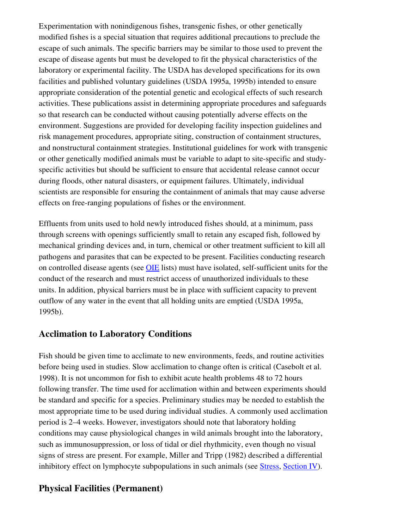Experimentation with nonindigenous fishes, transgenic fishes, or other genetically modified fishes is a special situation that requires additional precautions to preclude the escape of such animals. The specific barriers may be similar to those used to prevent the escape of disease agents but must be developed to fit the physical characteristics of the laboratory or experimental facility. The USDA has developed specifications for its own facilities and published voluntary guidelines (USDA 1995a, 1995b) intended to ensure appropriate consideration of the potential genetic and ecological effects of such research activities. These publications assist in determining appropriate procedures and safeguards so that research can be conducted without causing potentially adverse effects on the environment. Suggestions are provided for developing facility inspection guidelines and risk management procedures, appropriate siting, construction of containment structures, and nonstructural containment strategies. Institutional guidelines for work with transgenic or other genetically modified animals must be variable to adapt to sitespecific and studyspecific activities but should be sufficient to ensure that accidental release cannot occur during floods, other natural disasters, or equipment failures. Ultimately, individual scientists are responsible for ensuring the containment of animals that may cause adverse effects on free-ranging populations of fishes or the environment.

Effluents from units used to hold newly introduced fishes should, at a minimum, pass through screens with openings sufficiently small to retain any escaped fish, followed by mechanical grinding devices and, in turn, chemical or other treatment sufficient to kill all pathogens and parasites that can be expected to be present. Facilities conducting research on controlled disease agents (see **[OIE](http://www.oie.int/)** lists) must have isolated, self-sufficient units for the conduct of the research and must restrict access of unauthorized individuals to these units. In addition, physical barriers must be in place with sufficient capacity to prevent outflow of any water in the event that all holding units are emptied (USDA 1995a, 1995b).

### <span id="page-33-1"></span>Acclimation to Laboratory Conditions

Fish should be given time to acclimate to new environments, feeds, and routine activities before being used in studies. Slow acclimation to change often is critical (Casebolt et al. 1998). It is not uncommon for fish to exhibit acute health problems 48 to 72 hours following transfer. The time used for acclimation within and between experiments should be standard and specific for a species. Preliminary studies may be needed to establish the most appropriate time to be used during individual studies. A commonly used acclimation period is 2–4 weeks. However, investigators should note that laboratory holding conditions may cause physiological changes in wild animals brought into the laboratory, such as immunosuppression, or loss of tidal or diel rhythmicity, even though no visual signs of stress are present. For example, Miller and Tripp (1982) described a differential inhibitory effect on lymphocyte subpopulations in such animals (see [Stress](#page-15-0), [Section IV\)](#page-33-2).

### <span id="page-33-2"></span><span id="page-33-0"></span>Physical Facilities (Permanent)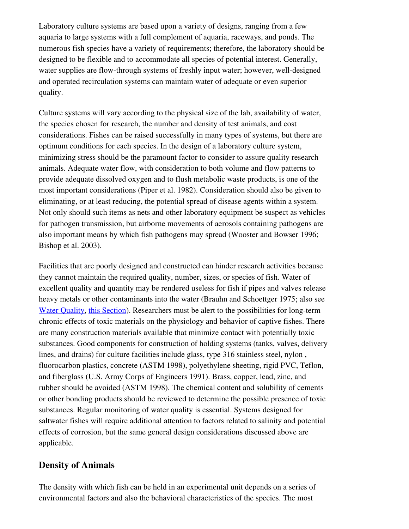Laboratory culture systems are based upon a variety of designs, ranging from a few aquaria to large systems with a full complement of aquaria, raceways, and ponds. The numerous fish species have a variety of requirements; therefore, the laboratory should be designed to be flexible and to accommodate all species of potential interest. Generally, water supplies are flow-through systems of freshly input water; however, well-designed and operated recirculation systems can maintain water of adequate or even superior quality.

Culture systems will vary according to the physical size of the lab, availability of water, the species chosen for research, the number and density of test animals, and cost considerations. Fishes can be raised successfully in many types of systems, but there are optimum conditions for each species. In the design of a laboratory culture system, minimizing stress should be the paramount factor to consider to assure quality research animals. Adequate water flow, with consideration to both volume and flow patterns to provide adequate dissolved oxygen and to flush metabolic waste products, is one of the most important considerations (Piper et al. 1982). Consideration should also be given to eliminating, or at least reducing, the potential spread of disease agents within a system. Not only should such items as nets and other laboratory equipment be suspect as vehicles for pathogen transmission, but airborne movements of aerosols containing pathogens are also important means by which fish pathogens may spread (Wooster and Bowser 1996; Bishop et al. 2003).

Facilities that are poorly designed and constructed can hinder research activities because they cannot maintain the required quality, number, sizes, or species of fish. Water of excellent quality and quantity may be rendered useless for fish if pipes and valves release heavy metals or other contaminants into the water (Brauhn and Schoettger 1975; also see [Water Quality,](#page-36-0) [this Section\)](#page-32-2). Researchers must be alert to the possibilities for long-term chronic effects of toxic materials on the physiology and behavior of captive fishes. There are many construction materials available that minimize contact with potentially toxic substances. Good components for construction of holding systems (tanks, valves, delivery lines, and drains) for culture facilities include glass, type 316 stainless steel, nylon , fluorocarbon plastics, concrete (ASTM 1998), polyethylene sheeting, rigid PVC, Teflon, and fiberglass (U.S. Army Corps of Engineers 1991). Brass, copper, lead, zinc, and rubber should be avoided (ASTM 1998). The chemical content and solubility of cements or other bonding products should be reviewed to determine the possible presence of toxic substances. Regular monitoring of water quality is essential. Systems designed for saltwater fishes will require additional attention to factors related to salinity and potential effects of corrosion, but the same general design considerations discussed above are applicable.

### <span id="page-34-0"></span>Density of Animals

The density with which fish can be held in an experimental unit depends on a series of environmental factors and also the behavioral characteristics of the species. The most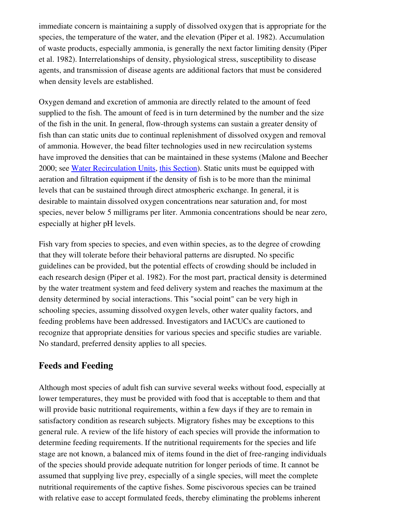immediate concern is maintaining a supply of dissolved oxygen that is appropriate for the species, the temperature of the water, and the elevation (Piper et al. 1982). Accumulation of waste products, especially ammonia, is generally the next factor limiting density (Piper et al. 1982). Interrelationships of density, physiological stress, susceptibility to disease agents, and transmission of disease agents are additional factors that must be considered when density levels are established.

Oxygen demand and excretion of ammonia are directly related to the amount of feed supplied to the fish. The amount of feed is in turn determined by the number and the size of the fish in the unit. In general, flow-through systems can sustain a greater density of fish than can static units due to continual replenishment of dissolved oxygen and removal of ammonia. However, the bead filter technologies used in new recirculation systems have improved the densities that can be maintained in these systems (Malone and Beecher 2000; see [Water Recirculation Units,](#page-37-0) [this Section](#page-32-2)). Static units must be equipped with aeration and filtration equipment if the density of fish is to be more than the minimal levels that can be sustained through direct atmospheric exchange. In general, it is desirable to maintain dissolved oxygen concentrations near saturation and, for most species, never below 5 milligrams per liter. Ammonia concentrations should be near zero, especially at higher pH levels.

Fish vary from species to species, and even within species, as to the degree of crowding that they will tolerate before their behavioral patterns are disrupted. No specific guidelines can be provided, but the potential effects of crowding should be included in each research design (Piper et al. 1982). For the most part, practical density is determined by the water treatment system and feed delivery system and reaches the maximum at the density determined by social interactions. This "social point" can be very high in schooling species, assuming dissolved oxygen levels, other water quality factors, and feeding problems have been addressed. Investigators and IACUCs are cautioned to recognize that appropriate densities for various species and specific studies are variable. No standard, preferred density applies to all species.

### <span id="page-35-0"></span>Feeds and Feeding

Although most species of adult fish can survive several weeks without food, especially at lower temperatures, they must be provided with food that is acceptable to them and that will provide basic nutritional requirements, within a few days if they are to remain in satisfactory condition as research subjects. Migratory fishes may be exceptions to this general rule. A review of the life history of each species will provide the information to determine feeding requirements. If the nutritional requirements for the species and life stage are not known, a balanced mix of items found in the diet of free-ranging individuals of the species should provide adequate nutrition for longer periods of time. It cannot be assumed that supplying live prey, especially of a single species, will meet the complete nutritional requirements of the captive fishes. Some piscivorous species can be trained with relative ease to accept formulated feeds, thereby eliminating the problems inherent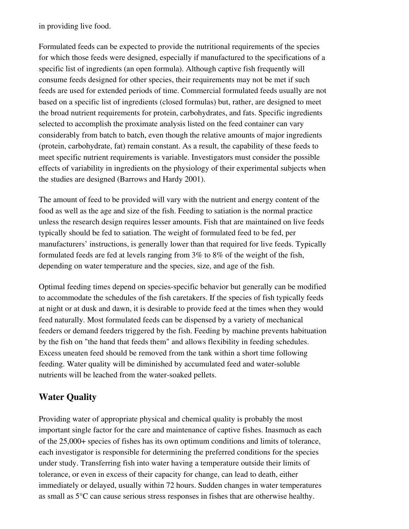in providing live food.

Formulated feeds can be expected to provide the nutritional requirements of the species for which those feeds were designed, especially if manufactured to the specifications of a specific list of ingredients (an open formula). Although captive fish frequently will consume feeds designed for other species, their requirements may not be met if such feeds are used for extended periods of time. Commercial formulated feeds usually are not based on a specific list of ingredients (closed formulas) but, rather, are designed to meet the broad nutrient requirements for protein, carbohydrates, and fats. Specific ingredients selected to accomplish the proximate analysis listed on the feed container can vary considerably from batch to batch, even though the relative amounts of major ingredients (protein, carbohydrate, fat) remain constant. As a result, the capability of these feeds to meet specific nutrient requirements is variable. Investigators must consider the possible effects of variability in ingredients on the physiology of their experimental subjects when the studies are designed (Barrows and Hardy 2001).

The amount of feed to be provided will vary with the nutrient and energy content of the food as well as the age and size of the fish. Feeding to satiation is the normal practice unless the research design requires lesser amounts. Fish that are maintained on live feeds typically should be fed to satiation. The weight of formulated feed to be fed, per manufacturers' instructions, is generally lower than that required for live feeds. Typically formulated feeds are fed at levels ranging from 3% to 8% of the weight of the fish, depending on water temperature and the species, size, and age of the fish.

Optimal feeding times depend on species-specific behavior but generally can be modified to accommodate the schedules of the fish caretakers. If the species of fish typically feeds at night or at dusk and dawn, it is desirable to provide feed at the times when they would feed naturally. Most formulated feeds can be dispensed by a variety of mechanical feeders or demand feeders triggered by the fish. Feeding by machine prevents habituation by the fish on "the hand that feeds them" and allows flexibility in feeding schedules. Excess uneaten feed should be removed from the tank within a short time following feeding. Water quality will be diminished by accumulated feed and water-soluble nutrients will be leached from the water-soaked pellets.

# <span id="page-36-0"></span>Water Quality

Providing water of appropriate physical and chemical quality is probably the most important single factor for the care and maintenance of captive fishes. Inasmuch as each of the 25,000+ species of fishes has its own optimum conditions and limits of tolerance, each investigator is responsible for determining the preferred conditions for the species under study. Transferring fish into water having a temperature outside their limits of tolerance, or even in excess of their capacity for change, can lead to death, either immediately or delayed, usually within 72 hours. Sudden changes in water temperatures as small as 5°C can cause serious stress responses in fishes that are otherwise healthy.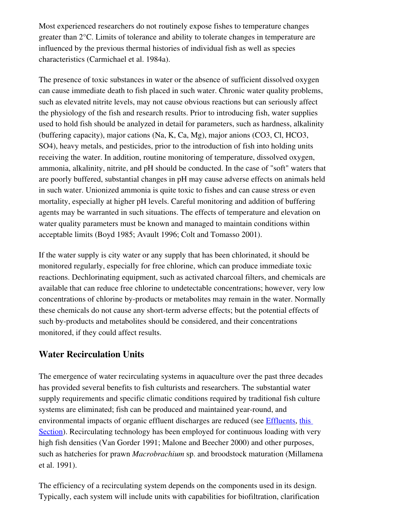Most experienced researchers do not routinely expose fishes to temperature changes greater than 2°C. Limits of tolerance and ability to tolerate changes in temperature are influenced by the previous thermal histories of individual fish as well as species characteristics (Carmichael et al. 1984a).

The presence of toxic substances in water or the absence of sufficient dissolved oxygen can cause immediate death to fish placed in such water. Chronic water quality problems, such as elevated nitrite levels, may not cause obvious reactions but can seriously affect the physiology of the fish and research results. Prior to introducing fish, water supplies used to hold fish should be analyzed in detail for parameters, such as hardness, alkalinity (buffering capacity), major cations (Na, K, Ca, Mg), major anions (CO3, Cl, HCO3, SO4), heavy metals, and pesticides, prior to the introduction of fish into holding units receiving the water. In addition, routine monitoring of temperature, dissolved oxygen, ammonia, alkalinity, nitrite, and pH should be conducted. In the case of "soft" waters that are poorly buffered, substantial changes in pH may cause adverse effects on animals held in such water. Unionized ammonia is quite toxic to fishes and can cause stress or even mortality, especially at higher pH levels. Careful monitoring and addition of buffering agents may be warranted in such situations. The effects of temperature and elevation on water quality parameters must be known and managed to maintain conditions within acceptable limits (Boyd 1985; Avault 1996; Colt and Tomasso 2001).

If the water supply is city water or any supply that has been chlorinated, it should be monitored regularly, especially for free chlorine, which can produce immediate toxic reactions. Dechlorinating equipment, such as activated charcoal filters, and chemicals are available that can reduce free chlorine to undetectable concentrations; however, very low concentrations of chlorine by-products or metabolites may remain in the water. Normally these chemicals do not cause any short-term adverse effects; but the potential effects of such by-products and metabolites should be considered, and their concentrations monitored, if they could affect results.

### <span id="page-37-0"></span>Water Recirculation Units

The emergence of water recirculating systems in aquaculture over the past three decades has provided several benefits to fish culturists and researchers. The substantial water supply requirements and specific climatic conditions required by traditional fish culture systems are eliminated; fish can be produced and maintained year-round, and environmental impacts of organic effluent discharges are reduced (see [Effluents](#page-38-0), [this](#page-32-2) [Section](#page-32-2)). Recirculating technology has been employed for continuous loading with very high fish densities (Van Gorder 1991; Malone and Beecher 2000) and other purposes, such as hatcheries for prawn *Macrobrachium* sp. and broodstock maturation (Millamena et al. 1991).

The efficiency of a recirculating system depends on the components used in its design. Typically, each system will include units with capabilities for biofiltration, clarification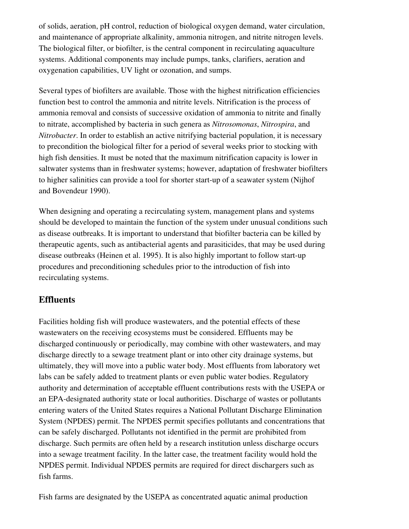of solids, aeration, pH control, reduction of biological oxygen demand, water circulation, and maintenance of appropriate alkalinity, ammonia nitrogen, and nitrite nitrogen levels. The biological filter, or biofilter, is the central component in recirculating aquaculture systems. Additional components may include pumps, tanks, clarifiers, aeration and oxygenation capabilities, UV light or ozonation, and sumps.

Several types of biofilters are available. Those with the highest nitrification efficiencies function best to control the ammonia and nitrite levels. Nitrification is the process of ammonia removal and consists of successive oxidation of ammonia to nitrite and finally to nitrate, accomplished by bacteria in such genera as *Nitrosomonas*, *Nitrospira*, and *Nitrobacter*. In order to establish an active nitrifying bacterial population, it is necessary to precondition the biological filter for a period of several weeks prior to stocking with high fish densities. It must be noted that the maximum nitrification capacity is lower in saltwater systems than in freshwater systems; however, adaptation of freshwater biofilters to higher salinities can provide a tool for shorter start-up of a seawater system (Nijhof and Bovendeur 1990).

When designing and operating a recirculating system, management plans and systems should be developed to maintain the function of the system under unusual conditions such as disease outbreaks. It is important to understand that biofilter bacteria can be killed by therapeutic agents, such as antibacterial agents and parasiticides, that may be used during disease outbreaks (Heinen et al. 1995). It is also highly important to follow start-up procedures and preconditioning schedules prior to the introduction of fish into recirculating systems.

#### <span id="page-38-0"></span>**Effluents**

Facilities holding fish will produce wastewaters, and the potential effects of these wastewaters on the receiving ecosystems must be considered. Effluents may be discharged continuously or periodically, may combine with other wastewaters, and may discharge directly to a sewage treatment plant or into other city drainage systems, but ultimately, they will move into a public water body. Most effluents from laboratory wet labs can be safely added to treatment plants or even public water bodies. Regulatory authority and determination of acceptable effluent contributions rests with the USEPA or an EPA-designated authority state or local authorities. Discharge of wastes or pollutants entering waters of the United States requires a National Pollutant Discharge Elimination System (NPDES) permit. The NPDES permit specifies pollutants and concentrations that can be safely discharged. Pollutants not identified in the permit are prohibited from discharge. Such permits are often held by a research institution unless discharge occurs into a sewage treatment facility. In the latter case, the treatment facility would hold the NPDES permit. Individual NPDES permits are required for direct dischargers such as fish farms.

Fish farms are designated by the USEPA as concentrated aquatic animal production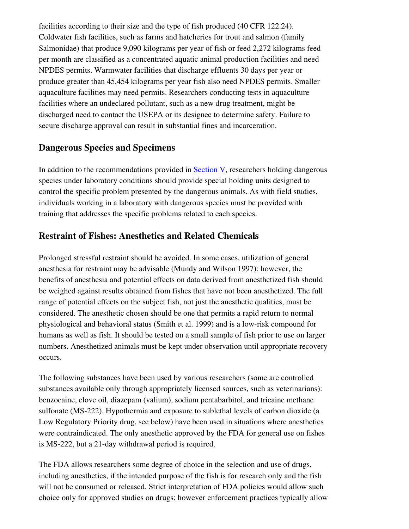facilities according to their size and the type of fish produced (40 CFR 122.24). Coldwater fish facilities, such as farms and hatcheries for trout and salmon (family Salmonidae) that produce 9,090 kilograms per year of fish or feed 2,272 kilograms feed per month are classified as a concentrated aquatic animal production facilities and need NPDES permits. Warmwater facilities that discharge effluents 30 days per year or produce greater than 45,454 kilograms per year fish also need NPDES permits. Smaller aquaculture facilities may need permits. Researchers conducting tests in aquaculture facilities where an undeclared pollutant, such as a new drug treatment, might be discharged need to contact the USEPA or its designee to determine safety. Failure to secure discharge approval can result in substantial fines and incarceration.

### <span id="page-39-1"></span>Dangerous Species and Specimens

In addition to the recommendations provided in [Section V,](#page-20-2) researchers holding dangerous species under laboratory conditions should provide special holding units designed to control the specific problem presented by the dangerous animals. As with field studies, individuals working in a laboratory with dangerous species must be provided with training that addresses the specific problems related to each species.

### <span id="page-39-0"></span>Restraint of Fishes: Anesthetics and Related Chemicals

Prolonged stressful restraint should be avoided. In some cases, utilization of general anesthesia for restraint may be advisable (Mundy and Wilson 1997); however, the benefits of anesthesia and potential effects on data derived from anesthetized fish should be weighed against results obtained from fishes that have not been anesthetized. The full range of potential effects on the subject fish, not just the anesthetic qualities, must be considered. The anesthetic chosen should be one that permits a rapid return to normal physiological and behavioral status (Smith et al. 1999) and is a lowrisk compound for humans as well as fish. It should be tested on a small sample of fish prior to use on larger numbers. Anesthetized animals must be kept under observation until appropriate recovery occurs.

The following substances have been used by various researchers (some are controlled substances available only through appropriately licensed sources, such as veterinarians): benzocaine, clove oil, diazepam (valium), sodium pentabarbitol, and tricaine methane sulfonate (MS-222). Hypothermia and exposure to sublethal levels of carbon dioxide (a Low Regulatory Priority drug, see below) have been used in situations where anesthetics were contraindicated. The only anesthetic approved by the FDA for general use on fishes is MS-222, but a 21-day withdrawal period is required.

The FDA allows researchers some degree of choice in the selection and use of drugs, including anesthetics, if the intended purpose of the fish is for research only and the fish will not be consumed or released. Strict interpretation of FDA policies would allow such choice only for approved studies on drugs; however enforcement practices typically allow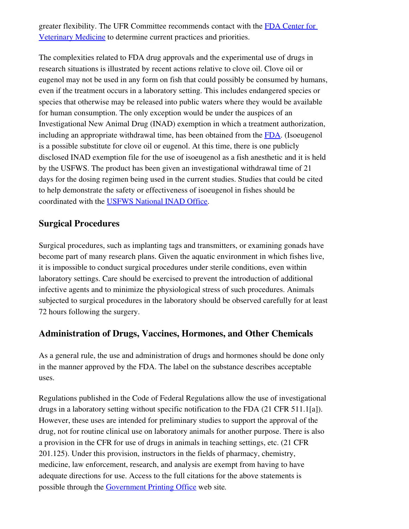greater flexibility. The UFR Committee recommends contact with the [FDA Center for](http://www.fda.gov/cvm/default.html) [Veterinary Medicine](http://www.fda.gov/cvm/default.html) to determine current practices and priorities.

The complexities related to FDA drug approvals and the experimental use of drugs in research situations is illustrated by recent actions relative to clove oil. Clove oil or eugenol may not be used in any form on fish that could possibly be consumed by humans, even if the treatment occurs in a laboratory setting. This includes endangered species or species that otherwise may be released into public waters where they would be available for human consumption. The only exception would be under the auspices of an Investigational New Animal Drug (INAD) exemption in which a treatment authorization, including an appropriate withdrawal time, has been obtained from the [FDA](http://www.fda.gov/cvm/index/updates/2003updates.html). (Isoeugenol is a possible substitute for clove oil or eugenol. At this time, there is one publicly disclosed INAD exemption file for the use of isoeugenol as a fish anesthetic and it is held by the USFWS. The product has been given an investigational withdrawal time of 21 days for the dosing regimen being used in the current studies. Studies that could be cited to help demonstrate the safety or effectiveness of isoeugenol in fishes should be coordinated with the [USFWS National INAD Office.](mailto:dave_erdahl@fws.gov)

# <span id="page-40-1"></span>Surgical Procedures

Surgical procedures, such as implanting tags and transmitters, or examining gonads have become part of many research plans. Given the aquatic environment in which fishes live, it is impossible to conduct surgical procedures under sterile conditions, even within laboratory settings. Care should be exercised to prevent the introduction of additional infective agents and to minimize the physiological stress of such procedures. Animals subjected to surgical procedures in the laboratory should be observed carefully for at least 72 hours following the surgery.

# <span id="page-40-0"></span>Administration of Drugs, Vaccines, Hormones, and Other Chemicals

As a general rule, the use and administration of drugs and hormones should be done only in the manner approved by the FDA. The label on the substance describes acceptable uses.

Regulations published in the Code of Federal Regulations allow the use of investigational drugs in a laboratory setting without specific notification to the FDA (21 CFR 511.1[a]). However, these uses are intended for preliminary studies to support the approval of the drug, not for routine clinical use on laboratory animals for another purpose. There is also a provision in the CFR for use of drugs in animals in teaching settings, etc. (21 CFR 201.125). Under this provision, instructors in the fields of pharmacy, chemistry, medicine, law enforcement, research, and analysis are exempt from having to have adequate directions for use. Access to the full citations for the above statements is possible through the [Government Printing Office](http://www.gpoaccess.gov/cfr/index.html) web site*.*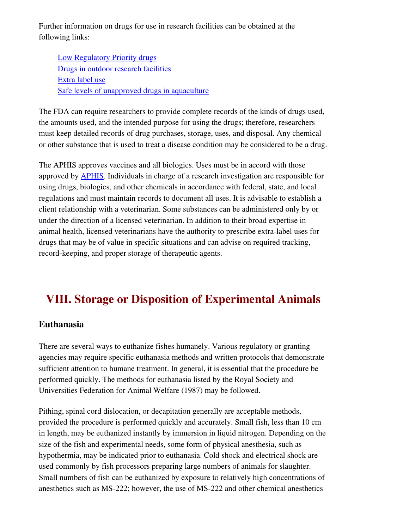Further information on drugs for use in research facilities can be obtained at the following links:

[Low Regulatory Priority drugs](http://www.fda.gov/cvm/index/aquaculture/LRPDrugs.pdf) [Drugs in outdoor research facilities](http://www.fda.gov/cvm/index/policy_proced/4270.pdf) [Extra label use](http://www.fda.gov/cvm/index/policy_proced/4210.pdf) [Safe levels of unapproved drugs in aquaculture](http://www.fda.gov/cvm/index/policy_proced/4240.pdf)

The FDA can require researchers to provide complete records of the kinds of drugs used, the amounts used, and the intended purpose for using the drugs; therefore, researchers must keep detailed records of drug purchases, storage, uses, and disposal. Any chemical or other substance that is used to treat a disease condition may be considered to be a drug.

The APHIS approves vaccines and all biologics. Uses must be in accord with those approved by [APHIS.](http://www.aphis.usda.gov/) Individuals in charge of a research investigation are responsible for using drugs, biologics, and other chemicals in accordance with federal, state, and local regulations and must maintain records to document all uses. It is advisable to establish a client relationship with a veterinarian. Some substances can be administered only by or under the direction of a licensed veterinarian. In addition to their broad expertise in animal health, licensed veterinarians have the authority to prescribe extra-label uses for drugs that may be of value in specific situations and can advise on required tracking, record-keeping, and proper storage of therapeutic agents.

# <span id="page-41-1"></span>VIII. Storage or Disposition of Experimental Animals

# <span id="page-41-0"></span>Euthanasia

There are several ways to euthanize fishes humanely. Various regulatory or granting agencies may require specific euthanasia methods and written protocols that demonstrate sufficient attention to humane treatment. In general, it is essential that the procedure be performed quickly. The methods for euthanasia listed by the Royal Society and Universities Federation for Animal Welfare (1987) may be followed.

Pithing, spinal cord dislocation, or decapitation generally are acceptable methods, provided the procedure is performed quickly and accurately. Small fish, less than 10 cm in length, may be euthanized instantly by immersion in liquid nitrogen. Depending on the size of the fish and experimental needs, some form of physical anesthesia, such as hypothermia, may be indicated prior to euthanasia. Cold shock and electrical shock are used commonly by fish processors preparing large numbers of animals for slaughter. Small numbers of fish can be euthanized by exposure to relatively high concentrations of anesthetics such as MS-222; however, the use of MS-222 and other chemical anesthetics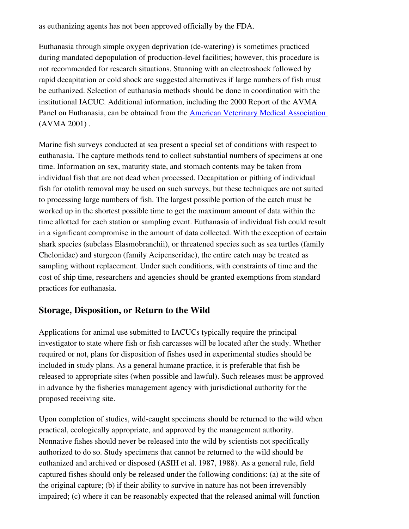as euthanizing agents has not been approved officially by the FDA.

Euthanasia through simple oxygen deprivation (dewatering) is sometimes practiced during mandated depopulation of production-level facilities; however, this procedure is not recommended for research situations. Stunning with an electroshock followed by rapid decapitation or cold shock are suggested alternatives if large numbers of fish must be euthanized. Selection of euthanasia methods should be done in coordination with the institutional IACUC. Additional information, including the 2000 Report of the AVMA Panel on Euthanasia, can be obtained from the **[American Veterinary Medical Association](http://www.avma.org/resources/euthanasia.pdf)** (AVMA 2001) .

Marine fish surveys conducted at sea present a special set of conditions with respect to euthanasia. The capture methods tend to collect substantial numbers of specimens at one time. Information on sex, maturity state, and stomach contents may be taken from individual fish that are not dead when processed. Decapitation or pithing of individual fish for otolith removal may be used on such surveys, but these techniques are not suited to processing large numbers of fish. The largest possible portion of the catch must be worked up in the shortest possible time to get the maximum amount of data within the time allotted for each station or sampling event. Euthanasia of individual fish could result in a significant compromise in the amount of data collected. With the exception of certain shark species (subclass Elasmobranchii), or threatened species such as sea turtles (family Chelonidae) and sturgeon (family Acipenseridae), the entire catch may be treated as sampling without replacement. Under such conditions, with constraints of time and the cost of ship time, researchers and agencies should be granted exemptions from standard practices for euthanasia.

### <span id="page-42-0"></span>Storage, Disposition, or Return to the Wild

Applications for animal use submitted to IACUCs typically require the principal investigator to state where fish or fish carcasses will be located after the study. Whether required or not, plans for disposition of fishes used in experimental studies should be included in study plans. As a general humane practice, it is preferable that fish be released to appropriate sites (when possible and lawful). Such releases must be approved in advance by the fisheries management agency with jurisdictional authority for the proposed receiving site.

Upon completion of studies, wild-caught specimens should be returned to the wild when practical, ecologically appropriate, and approved by the management authority. Nonnative fishes should never be released into the wild by scientists not specifically authorized to do so. Study specimens that cannot be returned to the wild should be euthanized and archived or disposed (ASIH et al. 1987, 1988). As a general rule, field captured fishes should only be released under the following conditions: (a) at the site of the original capture; (b) if their ability to survive in nature has not been irreversibly impaired; (c) where it can be reasonably expected that the released animal will function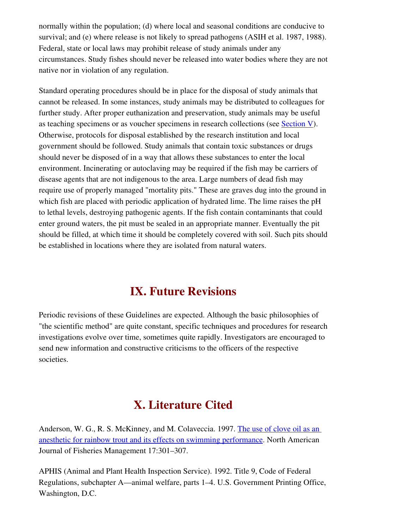normally within the population; (d) where local and seasonal conditions are conducive to survival; and (e) where release is not likely to spread pathogens (ASIH et al. 1987, 1988). Federal, state or local laws may prohibit release of study animals under any circumstances. Study fishes should never be released into water bodies where they are not native nor in violation of any regulation.

Standard operating procedures should be in place for the disposal of study animals that cannot be released. In some instances, study animals may be distributed to colleagues for further study. After proper euthanization and preservation, study animals may be useful as teaching specimens or as voucher specimens in research collections (see [Section V](#page-20-2)). Otherwise, protocols for disposal established by the research institution and local government should be followed. Study animals that contain toxic substances or drugs should never be disposed of in a way that allows these substances to enter the local environment. Incinerating or autoclaving may be required if the fish may be carriers of disease agents that are not indigenous to the area. Large numbers of dead fish may require use of properly managed "mortality pits." These are graves dug into the ground in which fish are placed with periodic application of hydrated lime. The lime raises the pH to lethal levels, destroying pathogenic agents. If the fish contain contaminants that could enter ground waters, the pit must be sealed in an appropriate manner. Eventually the pit should be filled, at which time it should be completely covered with soil. Such pits should be established in locations where they are isolated from natural waters.

# <span id="page-43-1"></span>IX. Future Revisions

Periodic revisions of these Guidelines are expected. Although the basic philosophies of "the scientific method" are quite constant, specific techniques and procedures for research investigations evolve over time, sometimes quite rapidly. Investigators are encouraged to send new information and constructive criticisms to the officers of the respective societies.

# <span id="page-43-0"></span>X. Literature Cited

Anderson, W. G., R. S. McKinney, and M. Colaveccia. 1997. [The use of clove oil as an](http://afs.allenpress.com/afsonline/?request=get-abstract&issn=0275-5947&volume=017&issue=02&page=0301) [anesthetic for rainbow trout and its effects on swimming performance.](http://afs.allenpress.com/afsonline/?request=get-abstract&issn=0275-5947&volume=017&issue=02&page=0301) North American Journal of Fisheries Management 17:301–307.

APHIS (Animal and Plant Health Inspection Service). 1992. Title 9, Code of Federal Regulations, subchapter A—animal welfare, parts 1–4. U.S. Government Printing Office, Washington, D.C.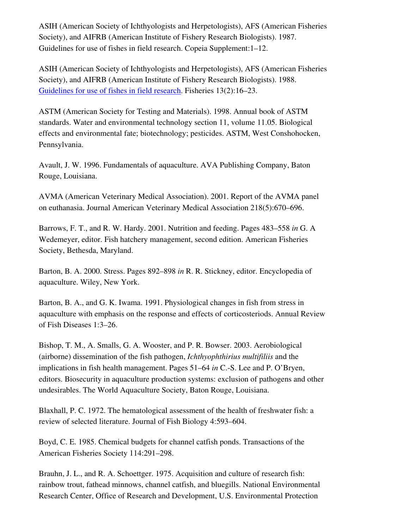ASIH (American Society of Ichthyologists and Herpetologists), AFS (American Fisheries Society), and AIFRB (American Institute of Fishery Research Biologists). 1987. Guidelines for use of fishes in field research. Copeia Supplement:1–12.

ASIH (American Society of Ichthyologists and Herpetologists), AFS (American Fisheries Society), and AIFRB (American Institute of Fishery Research Biologists). 1988. [Guidelines for use of fishes in field research.](file:///home/jeuker/Desktop/1988Guidelines.pdf) Fisheries 13(2):16–23.

ASTM (American Society for Testing and Materials). 1998. Annual book of ASTM standards. Water and environmental technology section 11, volume 11.05. Biological effects and environmental fate; biotechnology; pesticides. ASTM, West Conshohocken, Pennsylvania.

Avault, J. W. 1996. Fundamentals of aquaculture. AVA Publishing Company, Baton Rouge, Louisiana.

AVMA (American Veterinary Medical Association). 2001. Report of the AVMA panel on euthanasia. Journal American Veterinary Medical Association 218(5):670–696.

Barrows, F. T., and R. W. Hardy. 2001. Nutrition and feeding. Pages 483–558 *in* G. A Wedemeyer, editor. Fish hatchery management, second edition. American Fisheries Society, Bethesda, Maryland.

Barton, B. A. 2000. Stress. Pages 892–898 *in* R. R. Stickney, editor. Encyclopedia of aquaculture. Wiley, New York.

Barton, B. A., and G. K. Iwama. 1991. Physiological changes in fish from stress in aquaculture with emphasis on the response and effects of corticosteriods. Annual Review of Fish Diseases 1:3–26.

Bishop, T. M., A. Smalls, G. A. Wooster, and P. R. Bowser. 2003. Aerobiological (airborne) dissemination of the fish pathogen, *Ichthyophthirius multifiliis* and the implications in fish health management. Pages 51–64 *in* C.-S. Lee and P. O'Bryen, editors. Biosecurity in aquaculture production systems: exclusion of pathogens and other undesirables. The World Aquaculture Society, Baton Rouge, Louisiana.

Blaxhall, P. C. 1972. The hematological assessment of the health of freshwater fish: a review of selected literature. Journal of Fish Biology 4:593–604.

Boyd, C. E. 1985. Chemical budgets for channel catfish ponds. Transactions of the American Fisheries Society 114:291–298.

Brauhn, J. L., and R. A. Schoettger. 1975. Acquisition and culture of research fish: rainbow trout, fathead minnows, channel catfish, and bluegills. National Environmental Research Center, Office of Research and Development, U.S. Environmental Protection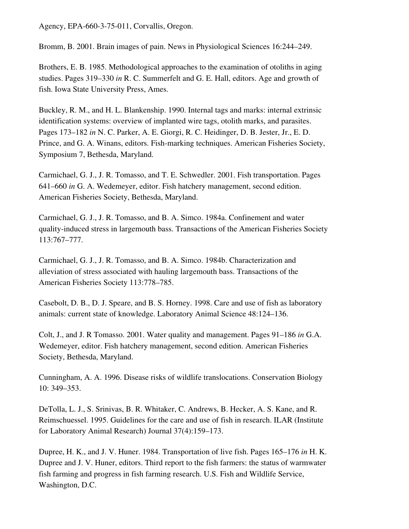Agency, EPA-660-3-75-011, Corvallis, Oregon.

Bromm, B. 2001. Brain images of pain. News in Physiological Sciences 16:244–249.

Brothers, E. B. 1985. Methodological approaches to the examination of otoliths in aging studies. Pages 319–330 *in* R. C. Summerfelt and G. E. Hall, editors. Age and growth of fish. Iowa State University Press, Ames.

Buckley, R. M., and H. L. Blankenship. 1990. Internal tags and marks: internal extrinsic identification systems: overview of implanted wire tags, otolith marks, and parasites. Pages 173–182 *in* N. C. Parker, A. E. Giorgi, R. C. Heidinger, D. B. Jester, Jr., E. D. Prince, and G. A. Winans, editors. Fish-marking techniques. American Fisheries Society, Symposium 7, Bethesda, Maryland.

Carmichael, G. J., J. R. Tomasso, and T. E. Schwedler. 2001. Fish transportation. Pages 641–660 *in* G. A. Wedemeyer, editor. Fish hatchery management, second edition. American Fisheries Society, Bethesda, Maryland.

Carmichael, G. J., J. R. Tomasso, and B. A. Simco. 1984a. Confinement and water quality-induced stress in largemouth bass. Transactions of the American Fisheries Society 113:767–777.

Carmichael, G. J., J. R. Tomasso, and B. A. Simco. 1984b. Characterization and alleviation of stress associated with hauling largemouth bass. Transactions of the American Fisheries Society 113:778–785.

Casebolt, D. B., D. J. Speare, and B. S. Horney. 1998. Care and use of fish as laboratory animals: current state of knowledge. Laboratory Animal Science 48:124–136.

Colt, J., and J. R Tomasso. 2001. Water quality and management. Pages 91–186 *in* G.A. Wedemeyer, editor. Fish hatchery management, second edition. American Fisheries Society, Bethesda, Maryland.

Cunningham, A. A. 1996. Disease risks of wildlife translocations. Conservation Biology 10: 349–353.

DeTolla, L. J., S. Srinivas, B. R. Whitaker, C. Andrews, B. Hecker, A. S. Kane, and R. Reimschuessel. 1995. Guidelines for the care and use of fish in research. ILAR (Institute for Laboratory Animal Research) Journal 37(4):159–173.

Dupree, H. K., and J. V. Huner. 1984. Transportation of live fish. Pages 165–176 *in* H. K. Dupree and J. V. Huner, editors. Third report to the fish farmers: the status of warmwater fish farming and progress in fish farming research. U.S. Fish and Wildlife Service, Washington, D.C.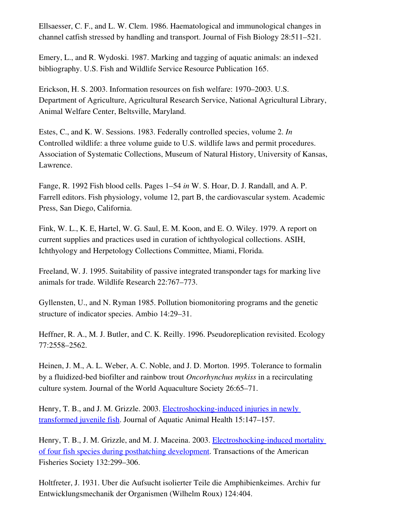Ellsaesser, C. F., and L. W. Clem. 1986. Haematological and immunological changes in channel catfish stressed by handling and transport. Journal of Fish Biology 28:511–521.

Emery, L., and R. Wydoski. 1987. Marking and tagging of aquatic animals: an indexed bibliography. U.S. Fish and Wildlife Service Resource Publication 165.

Erickson, H. S. 2003. Information resources on fish welfare: 1970–2003. U.S. Department of Agriculture, Agricultural Research Service, National Agricultural Library, Animal Welfare Center, Beltsville, Maryland.

Estes, C., and K. W. Sessions. 1983. Federally controlled species, volume 2. *In* Controlled wildlife: a three volume guide to U.S. wildlife laws and permit procedures. Association of Systematic Collections, Museum of Natural History, University of Kansas, Lawrence.

Fange, R. 1992 Fish blood cells. Pages 1–54 *in* W. S. Hoar, D. J. Randall, and A. P. Farrell editors. Fish physiology, volume 12, part B, the cardiovascular system. Academic Press, San Diego, California.

Fink, W. L., K. E, Hartel, W. G. Saul, E. M. Koon, and E. O. Wiley. 1979. A report on current supplies and practices used in curation of ichthyological collections. ASIH, Ichthyology and Herpetology Collections Committee, Miami, Florida.

Freeland, W. J. 1995. Suitability of passive integrated transponder tags for marking live animals for trade. Wildlife Research 22:767–773.

Gyllensten, U., and N. Ryman 1985. Pollution biomonitoring programs and the genetic structure of indicator species. Ambio 14:29–31.

Heffner, R. A., M. J. Butler, and C. K. Reilly. 1996. Pseudoreplication revisited. Ecology 77:2558–2562.

Heinen, J. M., A. L. Weber, A. C. Noble, and J. D. Morton. 1995. Tolerance to formalin by a fluidizedbed biofilter and rainbow trout *Oncorhynchus mykiss* in a recirculating culture system. Journal of the World Aquaculture Society 26:65–71.

Henry, T. B., and J. M. Grizzle. 2003. Electroshocking-induced injuries in newly [transformed juvenile fish](http://afs.allenpress.com/afsonline/?request=get-abstract&issn=0899-7659&volume=015&issue=02&page=0147). Journal of Aquatic Animal Health 15:147–157.

Henry, T. B., J. M. Grizzle, and M. J. Maceina. 2003. **Electroshocking-induced mortality** [of four fish species during posthatching development.](http://afs.allenpress.com/afsonline/?request=get-abstract&issn=0002-8487&volume=132&issue=02&page=0299) Transactions of the American Fisheries Society 132:299–306.

Holtfreter, J. 1931. Uber die Aufsucht isolierter Teile die Amphibienkeimes. Archiv fur Entwicklungsmechanik der Organismen (Wilhelm Roux) 124:404.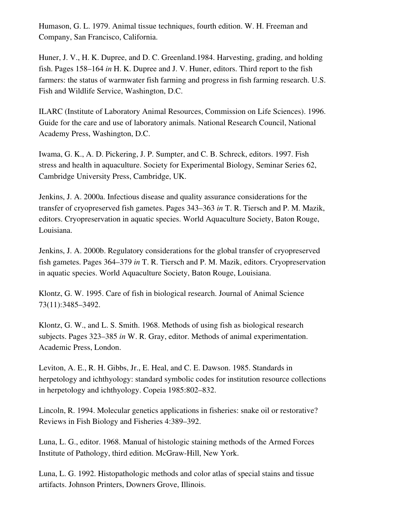Humason, G. L. 1979. Animal tissue techniques, fourth edition. W. H. Freeman and Company, San Francisco, California.

Huner, J. V., H. K. Dupree, and D. C. Greenland.1984. Harvesting, grading, and holding fish. Pages 158–164 *in* H. K. Dupree and J. V. Huner, editors. Third report to the fish farmers: the status of warmwater fish farming and progress in fish farming research. U.S. Fish and Wildlife Service, Washington, D.C.

ILARC (Institute of Laboratory Animal Resources, Commission on Life Sciences). 1996. Guide for the care and use of laboratory animals. National Research Council, National Academy Press, Washington, D.C.

Iwama, G. K., A. D. Pickering, J. P. Sumpter, and C. B. Schreck, editors. 1997. Fish stress and health in aquaculture. Society for Experimental Biology, Seminar Series 62, Cambridge University Press, Cambridge, UK.

Jenkins, J. A. 2000a. Infectious disease and quality assurance considerations for the transfer of cryopreserved fish gametes. Pages 343–363 *in* T. R. Tiersch and P. M. Mazik, editors. Cryopreservation in aquatic species. World Aquaculture Society, Baton Rouge, Louisiana.

Jenkins, J. A. 2000b. Regulatory considerations for the global transfer of cryopreserved fish gametes. Pages 364–379 *in* T. R. Tiersch and P. M. Mazik, editors. Cryopreservation in aquatic species. World Aquaculture Society, Baton Rouge, Louisiana.

Klontz, G. W. 1995. Care of fish in biological research. Journal of Animal Science 73(11):3485–3492.

Klontz, G. W., and L. S. Smith. 1968. Methods of using fish as biological research subjects. Pages 323–385 *in* W. R. Gray, editor. Methods of animal experimentation. Academic Press, London.

Leviton, A. E., R. H. Gibbs, Jr., E. Heal, and C. E. Dawson. 1985. Standards in herpetology and ichthyology: standard symbolic codes for institution resource collections in herpetology and ichthyology. Copeia 1985:802–832.

Lincoln, R. 1994. Molecular genetics applications in fisheries: snake oil or restorative? Reviews in Fish Biology and Fisheries 4:389–392.

Luna, L. G., editor. 1968. Manual of histologic staining methods of the Armed Forces Institute of Pathology, third edition. McGraw-Hill, New York.

Luna, L. G. 1992. Histopathologic methods and color atlas of special stains and tissue artifacts. Johnson Printers, Downers Grove, Illinois.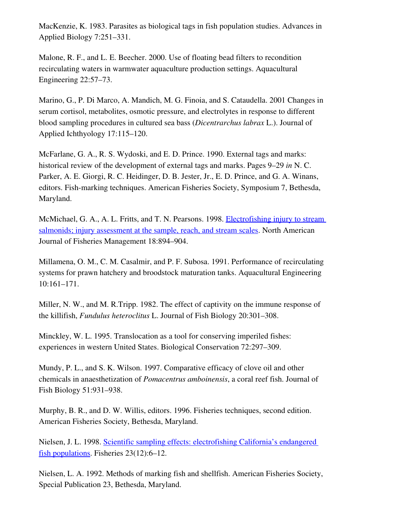MacKenzie, K. 1983. Parasites as biological tags in fish population studies. Advances in Applied Biology 7:251–331.

Malone, R. F., and L. E. Beecher. 2000. Use of floating bead filters to recondition recirculating waters in warmwater aquaculture production settings. Aquacultural Engineering 22:57–73.

Marino, G., P. Di Marco, A. Mandich, M. G. Finoia, and S. Cataudella. 2001 Changes in serum cortisol, metabolites, osmotic pressure, and electrolytes in response to different blood sampling procedures in cultured sea bass (*Dicentrarchus labrax* L.). Journal of Applied Ichthyology 17:115–120.

McFarlane, G. A., R. S. Wydoski, and E. D. Prince. 1990. External tags and marks: historical review of the development of external tags and marks. Pages 9–29 *in* N. C. Parker, A. E. Giorgi, R. C. Heidinger, D. B. Jester, Jr., E. D. Prince, and G. A. Winans, editors. Fish-marking techniques. American Fisheries Society, Symposium 7, Bethesda, Maryland.

McMichael, G. A., A. L. Fritts, and T. N. Pearsons. 1998. [Electrofishing injury to stream](http://afs.allenpress.com/afsonline/?request=get-abstract&issn=0275-5947&volume=018&issue=04&page=0894) [salmonids; injury assessment at the sample, reach, and stream scales.](http://afs.allenpress.com/afsonline/?request=get-abstract&issn=0275-5947&volume=018&issue=04&page=0894) North American Journal of Fisheries Management 18:894–904.

Millamena, O. M., C. M. Casalmir, and P. F. Subosa. 1991. Performance of recirculating systems for prawn hatchery and broodstock maturation tanks. Aquacultural Engineering 10:161–171.

Miller, N. W., and M. R.Tripp. 1982. The effect of captivity on the immune response of the killifish, *Fundulus heteroclitus* L. Journal of Fish Biology 20:301–308.

Minckley, W. L. 1995. Translocation as a tool for conserving imperiled fishes: experiences in western United States. Biological Conservation 72:297–309.

Mundy, P. L., and S. K. Wilson. 1997. Comparative efficacy of clove oil and other chemicals in anaesthetization of *Pomacentrus amboinensis*, a coral reef fish. Journal of Fish Biology 51:931–938.

Murphy, B. R., and D. W. Willis, editors. 1996. Fisheries techniques, second edition. American Fisheries Society, Bethesda, Maryland.

Nielsen, J. L. 1998. [Scientific sampling effects: electrofishing California's endangered](http://afs.allenpress.com/afsonline/?request=get-abstract&issn=0363-2415&volume=023&issue=12&page=0006) [fish populations](http://afs.allenpress.com/afsonline/?request=get-abstract&issn=0363-2415&volume=023&issue=12&page=0006). Fisheries 23(12):6–12.

Nielsen, L. A. 1992. Methods of marking fish and shellfish. American Fisheries Society, Special Publication 23, Bethesda, Maryland.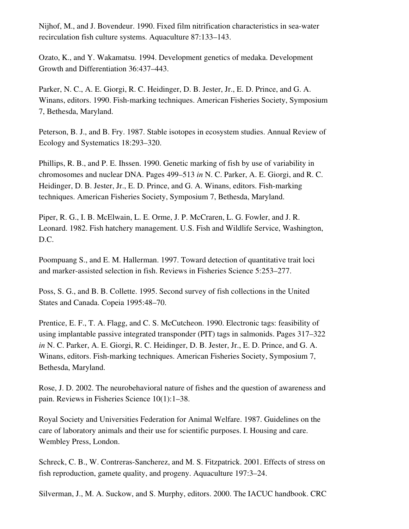Nijhof, M., and J. Bovendeur. 1990. Fixed film nitrification characteristics in sea-water recirculation fish culture systems. Aquaculture 87:133–143.

Ozato, K., and Y. Wakamatsu. 1994. Development genetics of medaka. Development Growth and Differentiation 36:437–443.

Parker, N. C., A. E. Giorgi, R. C. Heidinger, D. B. Jester, Jr., E. D. Prince, and G. A. Winans, editors. 1990. Fish-marking techniques. American Fisheries Society, Symposium 7, Bethesda, Maryland.

Peterson, B. J., and B. Fry. 1987. Stable isotopes in ecosystem studies. Annual Review of Ecology and Systematics 18:293–320.

Phillips, R. B., and P. E. Ihssen. 1990. Genetic marking of fish by use of variability in chromosomes and nuclear DNA. Pages 499–513 *in* N. C. Parker, A. E. Giorgi, and R. C. Heidinger, D. B. Jester, Jr., E. D. Prince, and G. A. Winans, editors. Fish-marking techniques. American Fisheries Society, Symposium 7, Bethesda, Maryland.

Piper, R. G., I. B. McElwain, L. E. Orme, J. P. McCraren, L. G. Fowler, and J. R. Leonard. 1982. Fish hatchery management. U.S. Fish and Wildlife Service, Washington, D.C.

Poompuang S., and E. M. Hallerman. 1997. Toward detection of quantitative trait loci and marker-assisted selection in fish. Reviews in Fisheries Science 5:253–277.

Poss, S. G., and B. B. Collette. 1995. Second survey of fish collections in the United States and Canada. Copeia 1995:48–70.

Prentice, E. F., T. A. Flagg, and C. S. McCutcheon. 1990. Electronic tags: feasibility of using implantable passive integrated transponder (PIT) tags in salmonids. Pages 317–322 *in* N. C. Parker, A. E. Giorgi, R. C. Heidinger, D. B. Jester, Jr., E. D. Prince, and G. A. Winans, editors. Fish-marking techniques. American Fisheries Society, Symposium 7, Bethesda, Maryland.

Rose, J. D. 2002. The neurobehavioral nature of fishes and the question of awareness and pain. Reviews in Fisheries Science 10(1):1–38.

Royal Society and Universities Federation for Animal Welfare. 1987. Guidelines on the care of laboratory animals and their use for scientific purposes. I. Housing and care. Wembley Press, London.

Schreck, C. B., W. Contreras-Sancherez, and M. S. Fitzpatrick. 2001. Effects of stress on fish reproduction, gamete quality, and progeny. Aquaculture 197:3–24.

Silverman, J., M. A. Suckow, and S. Murphy, editors. 2000. The IACUC handbook. CRC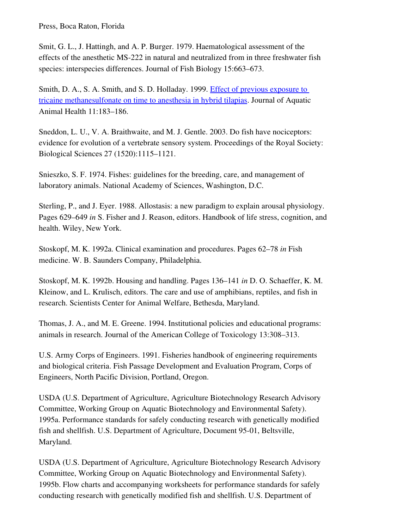Press, Boca Raton, Florida

Smit, G. L., J. Hattingh, and A. P. Burger. 1979. Haematological assessment of the effects of the anesthetic MS-222 in natural and neutralized from in three freshwater fish species: interspecies differences. Journal of Fish Biology 15:663–673.

Smith, D. A., S. A. Smith, and S. D. Holladay. 1999. [Effect of previous exposure to](http://afs.allenpress.com/afsonline/?request=get-abstract&issn=0899-7659&volume=011&issue=02&page=0183) [tricaine methanesulfonate on time to anesthesia in hybrid tilapias](http://afs.allenpress.com/afsonline/?request=get-abstract&issn=0899-7659&volume=011&issue=02&page=0183). Journal of Aquatic Animal Health 11:183–186.

Sneddon, L. U., V. A. Braithwaite, and M. J. Gentle. 2003. Do fish have nociceptors: evidence for evolution of a vertebrate sensory system. Proceedings of the Royal Society: Biological Sciences 27 (1520):1115–1121.

Snieszko, S. F. 1974. Fishes: guidelines for the breeding, care, and management of laboratory animals. National Academy of Sciences, Washington, D.C.

Sterling, P., and J. Eyer. 1988. Allostasis: a new paradigm to explain arousal physiology. Pages 629–649 *in* S. Fisher and J. Reason, editors. Handbook of life stress, cognition, and health. Wiley, New York.

Stoskopf, M. K. 1992a. Clinical examination and procedures. Pages 62–78 *in* Fish medicine. W. B. Saunders Company, Philadelphia.

Stoskopf, M. K. 1992b. Housing and handling. Pages 136–141 *in* D. O. Schaeffer, K. M. Kleinow, and L. Krulisch, editors. The care and use of amphibians, reptiles, and fish in research. Scientists Center for Animal Welfare, Bethesda, Maryland.

Thomas, J. A., and M. E. Greene. 1994. Institutional policies and educational programs: animals in research. Journal of the American College of Toxicology 13:308–313.

U.S. Army Corps of Engineers. 1991. Fisheries handbook of engineering requirements and biological criteria. Fish Passage Development and Evaluation Program, Corps of Engineers, North Pacific Division, Portland, Oregon.

USDA (U.S. Department of Agriculture, Agriculture Biotechnology Research Advisory Committee, Working Group on Aquatic Biotechnology and Environmental Safety). 1995a. Performance standards for safely conducting research with genetically modified fish and shellfish. U.S. Department of Agriculture, Document 95-01, Beltsville, Maryland.

USDA (U.S. Department of Agriculture, Agriculture Biotechnology Research Advisory Committee, Working Group on Aquatic Biotechnology and Environmental Safety). 1995b. Flow charts and accompanying worksheets for performance standards for safely conducting research with genetically modified fish and shellfish. U.S. Department of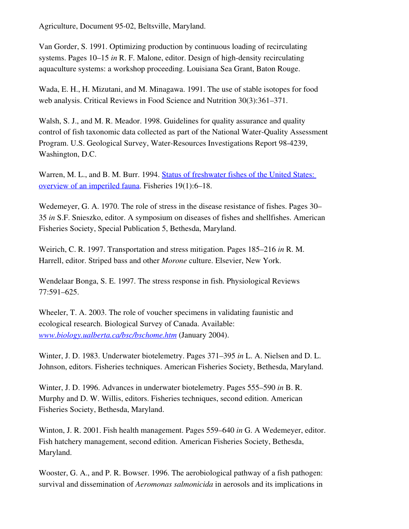Agriculture, Document 95-02, Beltsville, Maryland.

Van Gorder, S. 1991. Optimizing production by continuous loading of recirculating systems. Pages  $10-15$  *in* R. F. Malone, editor. Design of high-density recirculating aquaculture systems: a workshop proceeding. Louisiana Sea Grant, Baton Rouge.

Wada, E. H., H. Mizutani, and M. Minagawa. 1991. The use of stable isotopes for food web analysis. Critical Reviews in Food Science and Nutrition 30(3):361–371.

Walsh, S. J., and M. R. Meador. 1998. Guidelines for quality assurance and quality control of fish taxonomic data collected as part of the National Water-Quality Assessment Program. U.S. Geological Survey, Water-Resources Investigations Report 98-4239, Washington, D.C.

Warren, M. L., and B. M. Burr. 1994. **Status of freshwater fishes of the United States:** [overview of an imperiled fauna](http://afs.allenpress.com/afsonline/?request=get-abstract&issn=0363-2415&volume=019&issue=01&page=0006). Fisheries 19(1):6–18.

Wedemeyer, G. A. 1970. The role of stress in the disease resistance of fishes. Pages 30– 35 *in* S.F. Snieszko, editor. A symposium on diseases of fishes and shellfishes. American Fisheries Society, Special Publication 5, Bethesda, Maryland.

Weirich, C. R. 1997. Transportation and stress mitigation. Pages 185–216 *in* R. M. Harrell, editor. Striped bass and other *Morone* culture. Elsevier, New York.

Wendelaar Bonga, S. E. 1997. The stress response in fish. Physiological Reviews 77:591–625.

Wheeler, T. A. 2003. The role of voucher specimens in validating faunistic and ecological research. Biological Survey of Canada. Available: *[www.biology.ualberta.ca/bsc/bschome.htm](http://www.biology.ualberta.ca/bsc/bschome.htm)* (January 2004).

Winter, J. D. 1983. Underwater biotelemetry. Pages 371–395 *in* L. A. Nielsen and D. L. Johnson, editors. Fisheries techniques. American Fisheries Society, Bethesda, Maryland.

Winter, J. D. 1996. Advances in underwater biotelemetry. Pages 555–590 *in* B. R. Murphy and D. W. Willis, editors. Fisheries techniques, second edition. American Fisheries Society, Bethesda, Maryland.

Winton, J. R. 2001. Fish health management. Pages 559–640 *in* G. A Wedemeyer, editor. Fish hatchery management, second edition. American Fisheries Society, Bethesda, Maryland.

Wooster, G. A., and P. R. Bowser. 1996. The aerobiological pathway of a fish pathogen: survival and dissemination of *Aeromonas salmonicida* in aerosols and its implications in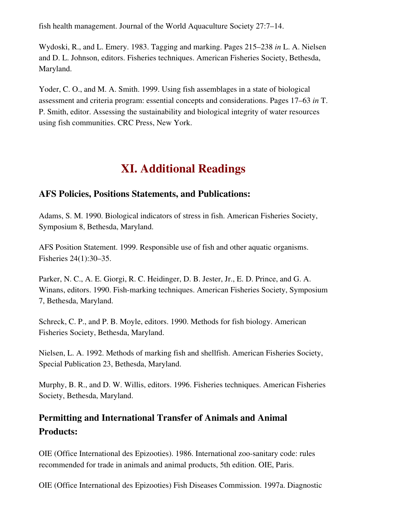fish health management. Journal of the World Aquaculture Society 27:7–14.

Wydoski, R., and L. Emery. 1983. Tagging and marking. Pages 215–238 *in* L. A. Nielsen and D. L. Johnson, editors. Fisheries techniques. American Fisheries Society, Bethesda, Maryland.

Yoder, C. O., and M. A. Smith. 1999. Using fish assemblages in a state of biological assessment and criteria program: essential concepts and considerations. Pages 17–63 *in* T. P. Smith, editor. Assessing the sustainability and biological integrity of water resources using fish communities. CRC Press, New York.

# <span id="page-52-2"></span>XI. Additional Readings

# <span id="page-52-1"></span>AFS Policies, Positions Statements, and Publications:

Adams, S. M. 1990. Biological indicators of stress in fish. American Fisheries Society, Symposium 8, Bethesda, Maryland.

AFS Position Statement. 1999. Responsible use of fish and other aquatic organisms. Fisheries 24(1):30–35.

Parker, N. C., A. E. Giorgi, R. C. Heidinger, D. B. Jester, Jr., E. D. Prince, and G. A. Winans, editors. 1990. Fish-marking techniques. American Fisheries Society, Symposium 7, Bethesda, Maryland.

Schreck, C. P., and P. B. Moyle, editors. 1990. Methods for fish biology. American Fisheries Society, Bethesda, Maryland.

Nielsen, L. A. 1992. Methods of marking fish and shellfish. American Fisheries Society, Special Publication 23, Bethesda, Maryland.

Murphy, B. R., and D. W. Willis, editors. 1996. Fisheries techniques. American Fisheries Society, Bethesda, Maryland.

# <span id="page-52-0"></span>Permitting and International Transfer of Animals and Animal Products:

OIE (Office International des Epizooties). 1986. International zoo-sanitary code: rules recommended for trade in animals and animal products, 5th edition. OIE, Paris.

OIE (Office International des Epizooties) Fish Diseases Commission. 1997a. Diagnostic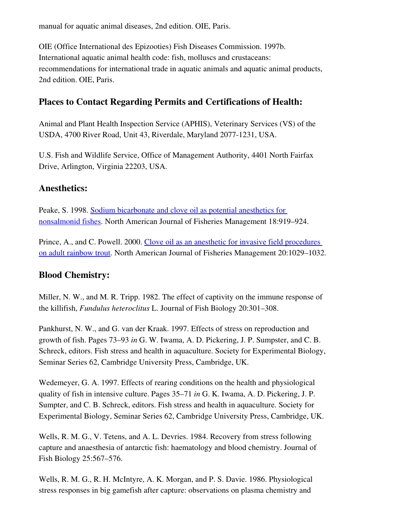manual for aquatic animal diseases, 2nd edition. OIE, Paris.

OIE (Office International des Epizooties) Fish Diseases Commission. 1997b. International aquatic animal health code: fish, molluscs and crustaceans: recommendations for international trade in aquatic animals and aquatic animal products, 2nd edition. OIE, Paris.

# <span id="page-53-2"></span>Places to Contact Regarding Permits and Certifications of Health:

Animal and Plant Health Inspection Service (APHIS), Veterinary Services (VS) of the USDA, 4700 River Road, Unit 43, Riverdale, Maryland 2077-1231, USA.

U.S. Fish and Wildlife Service, Office of Management Authority, 4401 North Fairfax Drive, Arlington, Virginia 22203, USA.

### <span id="page-53-1"></span>Anesthetics:

Peake, S. 1998. [Sodium bicarbonate and clove oil as potential anesthetics for](http://afs.allenpress.com/afsonline/?request=get-abstract&issn=0275-5947&volume=018&issue=04&page=0919) [nonsalmonid fishes](http://afs.allenpress.com/afsonline/?request=get-abstract&issn=0275-5947&volume=018&issue=04&page=0919). North American Journal of Fisheries Management 18:919–924.

Prince, A., and C. Powell. 2000. [Clove oil as an anesthetic for invasive field procedures](http://afs.allenpress.com/afsonline/?request=get-abstract&issn=0275-5947&volume=020&issue=04&page=1029) [on adult rainbow trout](http://afs.allenpress.com/afsonline/?request=get-abstract&issn=0275-5947&volume=020&issue=04&page=1029). North American Journal of Fisheries Management 20:1029–1032.

### <span id="page-53-0"></span>Blood Chemistry:

Miller, N. W., and M. R. Tripp. 1982. The effect of captivity on the immune response of the killifish, *Fundulus heteroclitus* L. Journal of Fish Biology 20:301–308.

Pankhurst, N. W., and G. van der Kraak. 1997. Effects of stress on reproduction and growth of fish. Pages 73–93 *in* G. W. Iwama, A. D. Pickering, J. P. Sumpster, and C. B. Schreck, editors. Fish stress and health in aquaculture. Society for Experimental Biology, Seminar Series 62, Cambridge University Press, Cambridge, UK.

Wedemeyer, G. A. 1997. Effects of rearing conditions on the health and physiological quality of fish in intensive culture. Pages 35–71 *in* G. K. Iwama, A. D. Pickering, J. P. Sumpter, and C. B. Schreck, editors. Fish stress and health in aquaculture. Society for Experimental Biology, Seminar Series 62, Cambridge University Press, Cambridge, UK.

Wells, R. M. G., V. Tetens, and A. L. Devries. 1984. Recovery from stress following capture and anaesthesia of antarctic fish: haematology and blood chemistry. Journal of Fish Biology 25:567–576.

Wells, R. M. G., R. H. McIntyre, A. K. Morgan, and P. S. Davie. 1986. Physiological stress responses in big gamefish after capture: observations on plasma chemistry and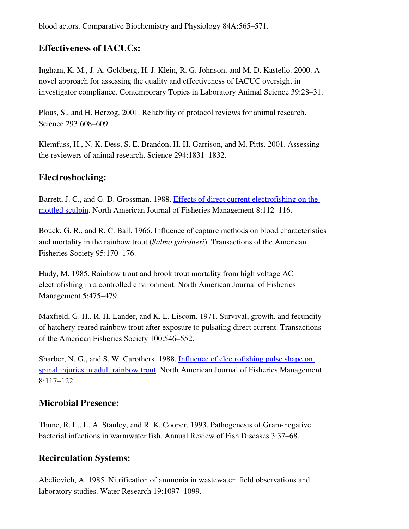blood actors. Comparative Biochemistry and Physiology 84A:565–571.

# <span id="page-54-3"></span>Effectiveness of IACUCs:

Ingham, K. M., J. A. Goldberg, H. J. Klein, R. G. Johnson, and M. D. Kastello. 2000. A novel approach for assessing the quality and effectiveness of IACUC oversight in investigator compliance. Contemporary Topics in Laboratory Animal Science 39:28–31.

Plous, S., and H. Herzog. 2001. Reliability of protocol reviews for animal research. Science 293:608–609.

Klemfuss, H., N. K. Dess, S. E. Brandon, H. H. Garrison, and M. Pitts. 2001. Assessing the reviewers of animal research. Science 294:1831–1832.

# <span id="page-54-2"></span>Electroshocking:

Barrett, J. C., and G. D. Grossman. 1988. [Effects of direct current electrofishing on the](http://afs.allenpress.com/afsonline/?request=get-abstract&issn=0275-5947&volume=008&issue=01&page=0112) [mottled sculpin](http://afs.allenpress.com/afsonline/?request=get-abstract&issn=0275-5947&volume=008&issue=01&page=0112). North American Journal of Fisheries Management 8:112–116.

Bouck, G. R., and R. C. Ball. 1966. Influence of capture methods on blood characteristics and mortality in the rainbow trout (*Salmo gairdneri*). Transactions of the American Fisheries Society 95:170–176.

Hudy, M. 1985. Rainbow trout and brook trout mortality from high voltage AC electrofishing in a controlled environment. North American Journal of Fisheries Management 5:475–479.

Maxfield, G. H., R. H. Lander, and K. L. Liscom. 1971. Survival, growth, and fecundity of hatchery-reared rainbow trout after exposure to pulsating direct current. Transactions of the American Fisheries Society 100:546–552.

Sharber, N. G., and S. W. Carothers. 1988. [Influence of electrofishing pulse shape on](http://afs.allenpress.com/afsonline/?request=get-abstract&issn=0275-5947&volume=008&issue=01&page=0117) [spinal injuries in adult rainbow trout.](http://afs.allenpress.com/afsonline/?request=get-abstract&issn=0275-5947&volume=008&issue=01&page=0117) North American Journal of Fisheries Management 8:117–122.

# <span id="page-54-1"></span>Microbial Presence:

Thune, R. L., L. A. Stanley, and R. K. Cooper. 1993. Pathogenesis of Gram-negative bacterial infections in warmwater fish. Annual Review of Fish Diseases 3:37–68.

# <span id="page-54-0"></span>Recirculation Systems:

Abeliovich, A. 1985. Nitrification of ammonia in wastewater: field observations and laboratory studies. Water Research 19:1097–1099.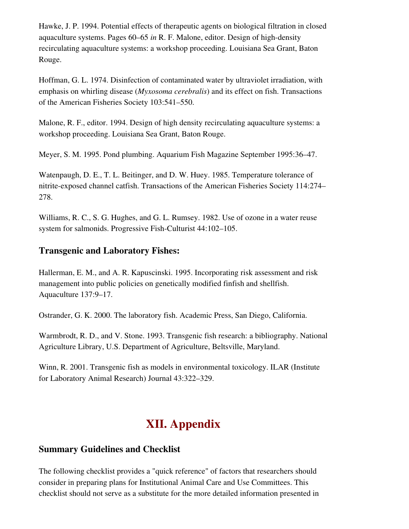Hawke, J. P. 1994. Potential effects of therapeutic agents on biological filtration in closed aquaculture systems. Pages 60–65 *in* R. F. Malone, editor. Design of high-density recirculating aquaculture systems: a workshop proceeding. Louisiana Sea Grant, Baton Rouge.

Hoffman, G. L. 1974. Disinfection of contaminated water by ultraviolet irradiation, with emphasis on whirling disease (*Myxosoma cerebralis*) and its effect on fish. Transactions of the American Fisheries Society 103:541–550.

Malone, R. F., editor. 1994. Design of high density recirculating aquaculture systems: a workshop proceeding. Louisiana Sea Grant, Baton Rouge.

Meyer, S. M. 1995. Pond plumbing. Aquarium Fish Magazine September 1995:36–47.

Watenpaugh, D. E., T. L. Beitinger, and D. W. Huey. 1985. Temperature tolerance of nitrite-exposed channel catfish. Transactions of the American Fisheries Society 114:274– 278.

Williams, R. C., S. G. Hughes, and G. L. Rumsey. 1982. Use of ozone in a water reuse system for salmonids. Progressive Fish-Culturist 44:102–105.

# <span id="page-55-1"></span>Transgenic and Laboratory Fishes:

Hallerman, E. M., and A. R. Kapuscinski. 1995. Incorporating risk assessment and risk management into public policies on genetically modified finfish and shellfish. Aquaculture 137:9–17.

Ostrander, G. K. 2000. The laboratory fish. Academic Press, San Diego, California.

Warmbrodt, R. D., and V. Stone. 1993. Transgenic fish research: a bibliography. National Agriculture Library, U.S. Department of Agriculture, Beltsville, Maryland.

Winn, R. 2001. Transgenic fish as models in environmental toxicology. ILAR (Institute for Laboratory Animal Research) Journal 43:322–329.

# <span id="page-55-0"></span>XII. Appendix

# Summary Guidelines and Checklist

The following checklist provides a "quick reference" of factors that researchers should consider in preparing plans for Institutional Animal Care and Use Committees. This checklist should not serve as a substitute for the more detailed information presented in